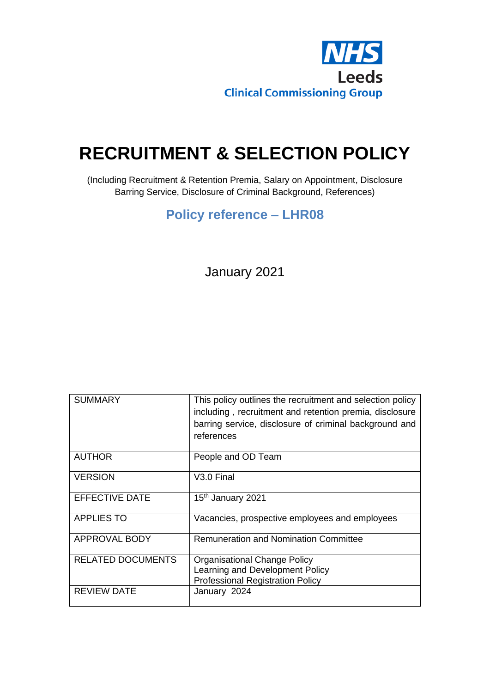

# **RECRUITMENT & SELECTION POLICY**

(Including Recruitment & Retention Premia, Salary on Appointment, Disclosure Barring Service, Disclosure of Criminal Background, References)

# **Policy reference – LHR08**

January 2021

| <b>SUMMARY</b>           | This policy outlines the recruitment and selection policy<br>including, recruitment and retention premia, disclosure<br>barring service, disclosure of criminal background and<br>references |
|--------------------------|----------------------------------------------------------------------------------------------------------------------------------------------------------------------------------------------|
| <b>AUTHOR</b>            | People and OD Team                                                                                                                                                                           |
| <b>VERSION</b>           | V <sub>3.0</sub> Final                                                                                                                                                                       |
| <b>EFFECTIVE DATE</b>    | 15 <sup>th</sup> January 2021                                                                                                                                                                |
| <b>APPLIES TO</b>        | Vacancies, prospective employees and employees                                                                                                                                               |
| APPROVAL BODY            | <b>Remuneration and Nomination Committee</b>                                                                                                                                                 |
| <b>RELATED DOCUMENTS</b> | Organisational Change Policy<br>Learning and Development Policy<br><b>Professional Registration Policy</b>                                                                                   |
| <b>REVIEW DATE</b>       | January 2024                                                                                                                                                                                 |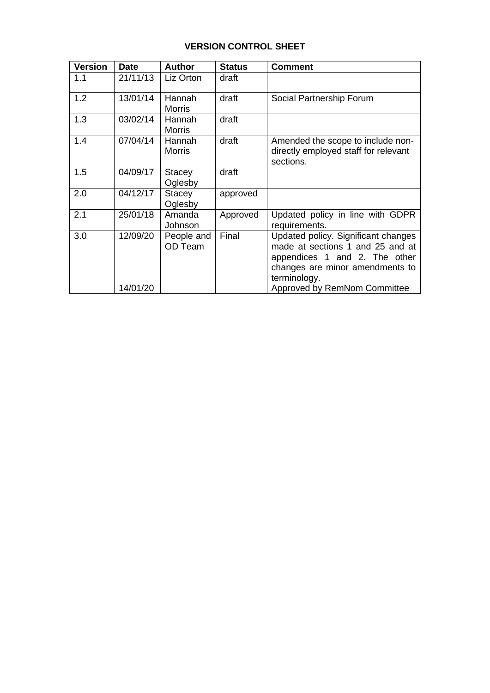# **VERSION CONTROL SHEET**

| <b>Version</b> | <b>Date</b>          | <b>Author</b>            | <b>Status</b> | <b>Comment</b>                                                                                                                                                                              |
|----------------|----------------------|--------------------------|---------------|---------------------------------------------------------------------------------------------------------------------------------------------------------------------------------------------|
| 1.1            | 21/11/13             | Liz Orton                | draft         |                                                                                                                                                                                             |
| 1.2            | 13/01/14             | Hannah<br><b>Morris</b>  | draft         | Social Partnership Forum                                                                                                                                                                    |
| 1.3            | 03/02/14             | Hannah<br><b>Morris</b>  | draft         |                                                                                                                                                                                             |
| 1.4            | 07/04/14             | Hannah<br><b>Morris</b>  | draft         | Amended the scope to include non-<br>directly employed staff for relevant<br>sections.                                                                                                      |
| 1.5            | 04/09/17             | <b>Stacey</b><br>Oglesby | draft         |                                                                                                                                                                                             |
| 2.0            | 04/12/17             | <b>Stacey</b><br>Oglesby | approved      |                                                                                                                                                                                             |
| 2.1            | 25/01/18             | Amanda<br>Johnson        | Approved      | Updated policy in line with GDPR<br>requirements.                                                                                                                                           |
| 3.0            | 12/09/20<br>14/01/20 | People and<br>OD Team    | Final         | Updated policy. Significant changes<br>made at sections 1 and 25 and at<br>appendices 1 and 2. The other<br>changes are minor amendments to<br>terminology.<br>Approved by RemNom Committee |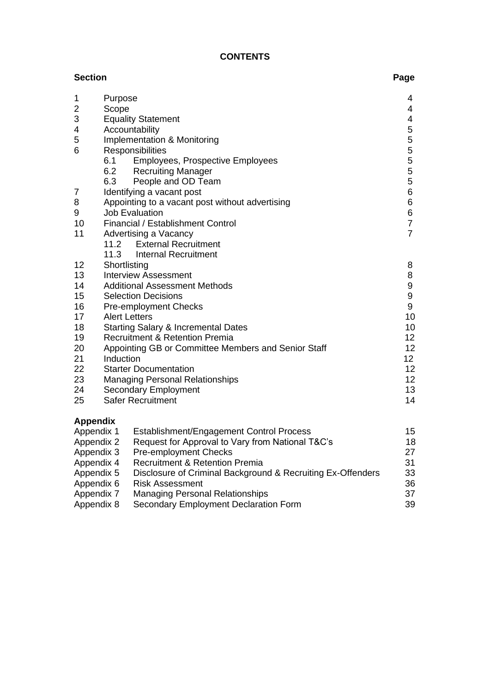# **CONTENTS**

| <b>Section</b>  |                      |                                                             | Page             |
|-----------------|----------------------|-------------------------------------------------------------|------------------|
| 1               | Purpose              |                                                             | 4                |
| 2               | Scope                |                                                             | 4                |
| 3               |                      | <b>Equality Statement</b>                                   | 4                |
| 4               |                      | Accountability                                              | 5                |
| 5               |                      | <b>Implementation &amp; Monitoring</b>                      |                  |
| 6               |                      | Responsibilities                                            | 5<br>5<br>5<br>5 |
|                 | 6.1                  | <b>Employees, Prospective Employees</b>                     |                  |
|                 | 6.2                  | <b>Recruiting Manager</b>                                   | 5                |
|                 | 6.3                  | People and OD Team                                          | 5                |
| 7               |                      | Identifying a vacant post                                   | 6                |
| 8               |                      | Appointing to a vacant post without advertising             | 6                |
| 9               |                      | <b>Job Evaluation</b>                                       | 6                |
| 10              |                      | Financial / Establishment Control                           | $\overline{7}$   |
| 11              |                      | Advertising a Vacancy                                       | $\overline{7}$   |
|                 | 11.2                 | <b>External Recruitment</b>                                 |                  |
| 12              | 11.3                 | <b>Internal Recruitment</b>                                 |                  |
| 13              | Shortlisting         | <b>Interview Assessment</b>                                 | 8<br>8           |
| 14              |                      | <b>Additional Assessment Methods</b>                        | 9                |
| 15              |                      | <b>Selection Decisions</b>                                  | 9                |
| 16              |                      | <b>Pre-employment Checks</b>                                | 9                |
| 17              | <b>Alert Letters</b> |                                                             | 10               |
| 18              |                      | <b>Starting Salary &amp; Incremental Dates</b>              | 10               |
| 19              |                      | <b>Recruitment &amp; Retention Premia</b>                   | 12               |
| 20              |                      | Appointing GB or Committee Members and Senior Staff         | 12               |
| 21              | Induction            |                                                             | 12               |
| 22              |                      | <b>Starter Documentation</b>                                | 12               |
| 23              |                      | <b>Managing Personal Relationships</b>                      | 12               |
| 24              |                      | <b>Secondary Employment</b>                                 | 13               |
| 25              |                      | <b>Safer Recruitment</b>                                    | 14               |
| <b>Appendix</b> |                      |                                                             |                  |
| Appendix 1      |                      | Establishment/Engagement Control Process                    | 15               |
| Appendix 2      |                      | Request for Approval to Vary from National T&C's            | 18               |
| Appendix 3      |                      | <b>Pre-employment Checks</b>                                | 27               |
| Appendix 4      |                      | <b>Recruitment &amp; Retention Premia</b>                   | 31               |
| Annandiv 5      |                      | Disclosure of Criminal Background & Recruiting Ex-Offenders | <b>ごろ</b>        |

| Appendix 5 | Disclosure of Criminal Background & Recruiting Ex-Offenders | 33  |
|------------|-------------------------------------------------------------|-----|
| Appendix 6 | <b>Risk Assessment</b>                                      | 36. |
| Appendix 7 | Managing Personal Relationships                             | .37 |
| Appendix 8 | Secondary Employment Declaration Form                       | 39  |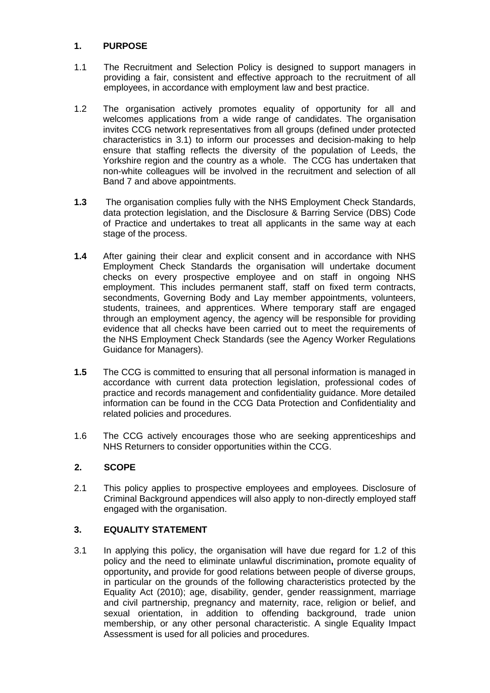# **1. PURPOSE**

- 1.1 The Recruitment and Selection Policy is designed to support managers in providing a fair, consistent and effective approach to the recruitment of all employees, in accordance with employment law and best practice.
- 1.2 The organisation actively promotes equality of opportunity for all and welcomes applications from a wide range of candidates. The organisation invites CCG network representatives from all groups (defined under protected characteristics in 3.1) to inform our processes and decision-making to help ensure that staffing reflects the diversity of the population of Leeds, the Yorkshire region and the country as a whole. The CCG has undertaken that non-white colleagues will be involved in the recruitment and selection of all Band 7 and above appointments.
- **1.3** The organisation complies fully with the NHS Employment Check Standards, data protection legislation, and the Disclosure & Barring Service (DBS) Code of Practice and undertakes to treat all applicants in the same way at each stage of the process.
- **1.4** After gaining their clear and explicit consent and in accordance with NHS Employment Check Standards the organisation will undertake document checks on every prospective employee and on staff in ongoing NHS employment. This includes permanent staff, staff on fixed term contracts, secondments, Governing Body and Lay member appointments, volunteers, students, trainees, and apprentices. Where temporary staff are engaged through an employment agency, the agency will be responsible for providing evidence that all checks have been carried out to meet the requirements of the NHS Employment Check Standards (see the Agency Worker Regulations Guidance for Managers).
- **1.5** The CCG is committed to ensuring that all personal information is managed in accordance with current data protection legislation, professional codes of practice and records management and confidentiality guidance. More detailed information can be found in the CCG Data Protection and Confidentiality and related policies and procedures.
- 1.6 The CCG actively encourages those who are seeking apprenticeships and NHS Returners to consider opportunities within the CCG.

## **2. SCOPE**

2.1 This policy applies to prospective employees and employees. Disclosure of Criminal Background appendices will also apply to non-directly employed staff engaged with the organisation.

# **3. EQUALITY STATEMENT**

3.1 In applying this policy, the organisation will have due regard for 1.2 of this policy and the need to eliminate unlawful discrimination**,** promote equality of opportunity**,** and provide for good relations between people of diverse groups, in particular on the grounds of the following characteristics protected by the Equality Act (2010); age, disability, gender, gender reassignment, marriage and civil partnership, pregnancy and maternity, race, religion or belief, and sexual orientation, in addition to offending background, trade union membership, or any other personal characteristic. A single Equality Impact Assessment is used for all policies and procedures.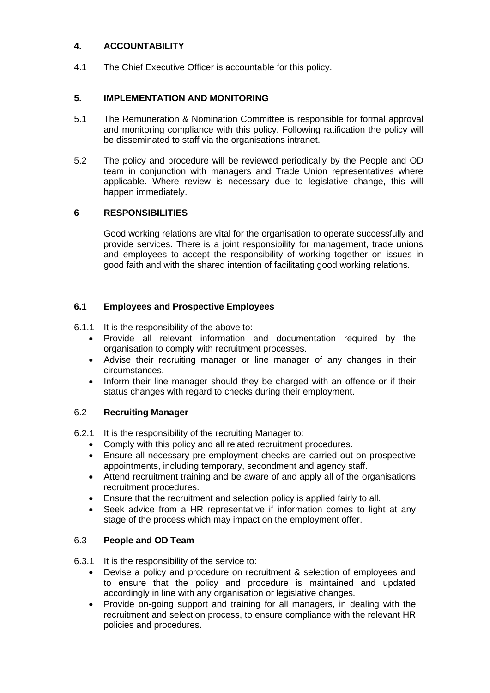# **4. ACCOUNTABILITY**

4.1 The Chief Executive Officer is accountable for this policy.

## **5. IMPLEMENTATION AND MONITORING**

- 5.1 The Remuneration & Nomination Committee is responsible for formal approval and monitoring compliance with this policy. Following ratification the policy will be disseminated to staff via the organisations intranet.
- 5.2 The policy and procedure will be reviewed periodically by the People and OD team in conjunction with managers and Trade Union representatives where applicable. Where review is necessary due to legislative change, this will happen immediately.

## **6 RESPONSIBILITIES**

Good working relations are vital for the organisation to operate successfully and provide services. There is a joint responsibility for management, trade unions and employees to accept the responsibility of working together on issues in good faith and with the shared intention of facilitating good working relations.

## **6.1 Employees and Prospective Employees**

- 6.1.1 It is the responsibility of the above to:
	- Provide all relevant information and documentation required by the organisation to comply with recruitment processes.
	- Advise their recruiting manager or line manager of any changes in their circumstances.
	- Inform their line manager should they be charged with an offence or if their status changes with regard to checks during their employment.

## 6.2 **Recruiting Manager**

- 6.2.1 It is the responsibility of the recruiting Manager to:
	- Comply with this policy and all related recruitment procedures.
	- Ensure all necessary pre-employment checks are carried out on prospective appointments, including temporary, secondment and agency staff.
	- Attend recruitment training and be aware of and apply all of the organisations recruitment procedures.
	- Ensure that the recruitment and selection policy is applied fairly to all.
	- Seek advice from a HR representative if information comes to light at any stage of the process which may impact on the employment offer.

# 6.3 **People and OD Team**

- 6.3.1 It is the responsibility of the service to:
	- Devise a policy and procedure on recruitment & selection of employees and to ensure that the policy and procedure is maintained and updated accordingly in line with any organisation or legislative changes.
	- Provide on-going support and training for all managers, in dealing with the recruitment and selection process, to ensure compliance with the relevant HR policies and procedures.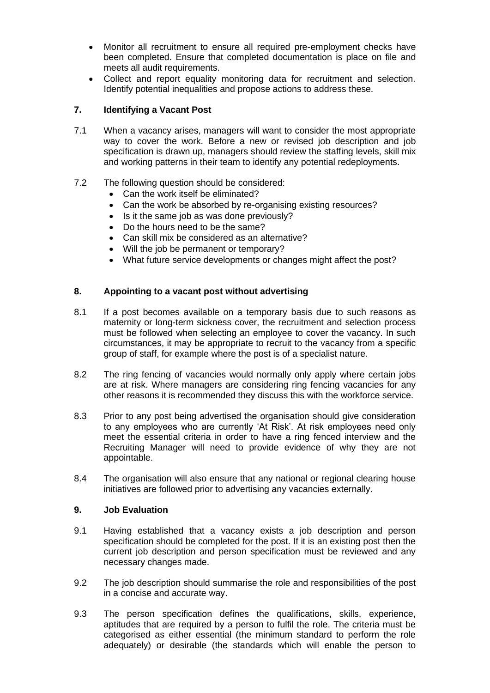- Monitor all recruitment to ensure all required pre-employment checks have been completed. Ensure that completed documentation is place on file and meets all audit requirements.
- Collect and report equality monitoring data for recruitment and selection. Identify potential inequalities and propose actions to address these.

## **7. Identifying a Vacant Post**

7.1 When a vacancy arises, managers will want to consider the most appropriate way to cover the work. Before a new or revised job description and job specification is drawn up, managers should review the staffing levels, skill mix and working patterns in their team to identify any potential redeployments.

## 7.2 The following question should be considered:

- Can the work itself be eliminated?
- Can the work be absorbed by re-organising existing resources?
- Is it the same job as was done previously?
- Do the hours need to be the same?
- Can skill mix be considered as an alternative?
- Will the job be permanent or temporary?
- What future service developments or changes might affect the post?

## **8. Appointing to a vacant post without advertising**

- 8.1 If a post becomes available on a temporary basis due to such reasons as maternity or long-term sickness cover, the recruitment and selection process must be followed when selecting an employee to cover the vacancy. In such circumstances, it may be appropriate to recruit to the vacancy from a specific group of staff, for example where the post is of a specialist nature.
- 8.2 The ring fencing of vacancies would normally only apply where certain jobs are at risk. Where managers are considering ring fencing vacancies for any other reasons it is recommended they discuss this with the workforce service.
- 8.3 Prior to any post being advertised the organisation should give consideration to any employees who are currently 'At Risk'. At risk employees need only meet the essential criteria in order to have a ring fenced interview and the Recruiting Manager will need to provide evidence of why they are not appointable.
- 8.4 The organisation will also ensure that any national or regional clearing house initiatives are followed prior to advertising any vacancies externally.

## **9. Job Evaluation**

- 9.1 Having established that a vacancy exists a job description and person specification should be completed for the post. If it is an existing post then the current job description and person specification must be reviewed and any necessary changes made.
- 9.2 The job description should summarise the role and responsibilities of the post in a concise and accurate way.
- 9.3 The person specification defines the qualifications, skills, experience, aptitudes that are required by a person to fulfil the role. The criteria must be categorised as either essential (the minimum standard to perform the role adequately) or desirable (the standards which will enable the person to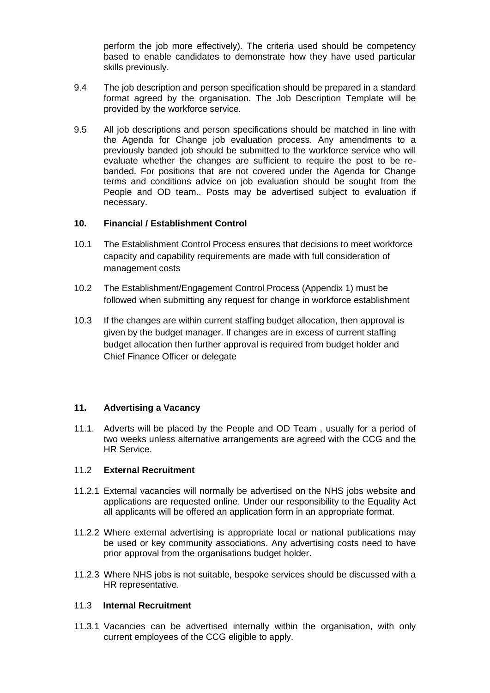perform the job more effectively). The criteria used should be competency based to enable candidates to demonstrate how they have used particular skills previously.

- 9.4 The job description and person specification should be prepared in a standard format agreed by the organisation. The Job Description Template will be provided by the workforce service.
- 9.5 All job descriptions and person specifications should be matched in line with the Agenda for Change job evaluation process. Any amendments to a previously banded job should be submitted to the workforce service who will evaluate whether the changes are sufficient to require the post to be rebanded. For positions that are not covered under the Agenda for Change terms and conditions advice on job evaluation should be sought from the People and OD team.. Posts may be advertised subject to evaluation if necessary.

#### **10. Financial / Establishment Control**

- 10.1 The Establishment Control Process ensures that decisions to meet workforce capacity and capability requirements are made with full consideration of management costs
- 10.2 The Establishment/Engagement Control Process (Appendix 1) must be followed when submitting any request for change in workforce establishment
- 10.3 If the changes are within current staffing budget allocation, then approval is given by the budget manager. If changes are in excess of current staffing budget allocation then further approval is required from budget holder and Chief Finance Officer or delegate

## **11. Advertising a Vacancy**

11.1. Adverts will be placed by the People and OD Team , usually for a period of two weeks unless alternative arrangements are agreed with the CCG and the HR Service.

#### 11.2 **External Recruitment**

- 11.2.1 External vacancies will normally be advertised on the NHS jobs website and applications are requested online. Under our responsibility to the Equality Act all applicants will be offered an application form in an appropriate format.
- 11.2.2 Where external advertising is appropriate local or national publications may be used or key community associations. Any advertising costs need to have prior approval from the organisations budget holder.
- 11.2.3 Where NHS jobs is not suitable, bespoke services should be discussed with a HR representative.

#### 11.3 **Internal Recruitment**

11.3.1 Vacancies can be advertised internally within the organisation, with only current employees of the CCG eligible to apply.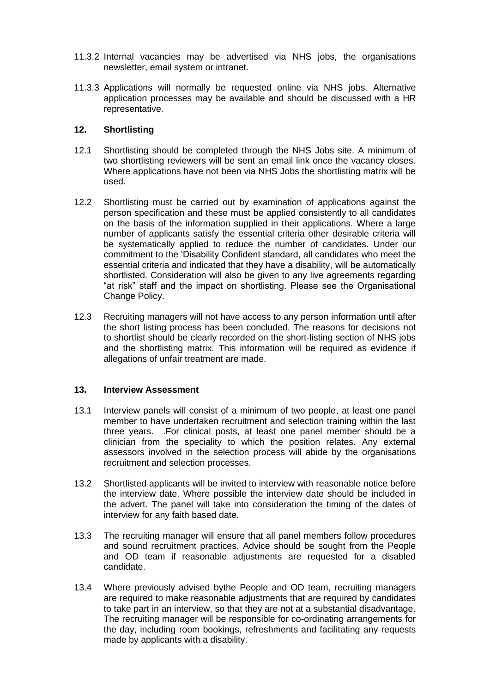- 11.3.2 Internal vacancies may be advertised via NHS jobs, the organisations newsletter, email system or intranet.
- 11.3.3 Applications will normally be requested online via NHS jobs. Alternative application processes may be available and should be discussed with a HR representative.

## **12. Shortlisting**

- 12.1 Shortlisting should be completed through the NHS Jobs site. A minimum of two shortlisting reviewers will be sent an email link once the vacancy closes. Where applications have not been via NHS Jobs the shortlisting matrix will be used.
- 12.2 Shortlisting must be carried out by examination of applications against the person specification and these must be applied consistently to all candidates on the basis of the information supplied in their applications. Where a large number of applicants satisfy the essential criteria other desirable criteria will be systematically applied to reduce the number of candidates. Under our commitment to the 'Disability Confident standard, all candidates who meet the essential criteria and indicated that they have a disability, will be automatically shortlisted. Consideration will also be given to any live agreements regarding "at risk" staff and the impact on shortlisting. Please see the Organisational Change Policy.
- 12.3 Recruiting managers will not have access to any person information until after the short listing process has been concluded. The reasons for decisions not to shortlist should be clearly recorded on the short-listing section of NHS jobs and the shortlisting matrix. This information will be required as evidence if allegations of unfair treatment are made.

#### **13. Interview Assessment**

- 13.1 Interview panels will consist of a minimum of two people, at least one panel member to have undertaken recruitment and selection training within the last three years. .For clinical posts, at least one panel member should be a clinician from the speciality to which the position relates. Any external assessors involved in the selection process will abide by the organisations recruitment and selection processes.
- 13.2 Shortlisted applicants will be invited to interview with reasonable notice before the interview date. Where possible the interview date should be included in the advert. The panel will take into consideration the timing of the dates of interview for any faith based date.
- 13.3 The recruiting manager will ensure that all panel members follow procedures and sound recruitment practices. Advice should be sought from the People and OD team if reasonable adjustments are requested for a disabled candidate.
- 13.4 Where previously advised bythe People and OD team, recruiting managers are required to make reasonable adjustments that are required by candidates to take part in an interview, so that they are not at a substantial disadvantage. The recruiting manager will be responsible for co-ordinating arrangements for the day, including room bookings, refreshments and facilitating any requests made by applicants with a disability.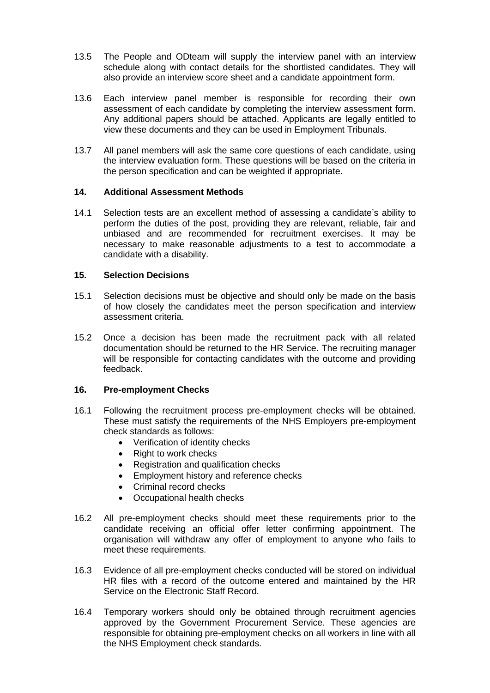- 13.5 The People and ODteam will supply the interview panel with an interview schedule along with contact details for the shortlisted candidates. They will also provide an interview score sheet and a candidate appointment form.
- 13.6 Each interview panel member is responsible for recording their own assessment of each candidate by completing the interview assessment form. Any additional papers should be attached. Applicants are legally entitled to view these documents and they can be used in Employment Tribunals.
- 13.7 All panel members will ask the same core questions of each candidate, using the interview evaluation form. These questions will be based on the criteria in the person specification and can be weighted if appropriate.

## **14. Additional Assessment Methods**

14.1 Selection tests are an excellent method of assessing a candidate's ability to perform the duties of the post, providing they are relevant, reliable, fair and unbiased and are recommended for recruitment exercises. It may be necessary to make reasonable adjustments to a test to accommodate a candidate with a disability.

#### **15. Selection Decisions**

- 15.1 Selection decisions must be objective and should only be made on the basis of how closely the candidates meet the person specification and interview assessment criteria.
- 15.2 Once a decision has been made the recruitment pack with all related documentation should be returned to the HR Service. The recruiting manager will be responsible for contacting candidates with the outcome and providing feedback.

## **16. Pre-employment Checks**

- 16.1 Following the recruitment process pre-employment checks will be obtained. These must satisfy the requirements of the NHS Employers pre-employment check standards as follows:
	- Verification of identity checks
	- Right to work checks
	- Registration and qualification checks
	- Employment history and reference checks
	- Criminal record checks
	- Occupational health checks
- 16.2 All pre-employment checks should meet these requirements prior to the candidate receiving an official offer letter confirming appointment. The organisation will withdraw any offer of employment to anyone who fails to meet these requirements.
- 16.3 Evidence of all pre-employment checks conducted will be stored on individual HR files with a record of the outcome entered and maintained by the HR Service on the Electronic Staff Record.
- 16.4 Temporary workers should only be obtained through recruitment agencies approved by the Government Procurement Service. These agencies are responsible for obtaining pre-employment checks on all workers in line with all the NHS Employment check standards.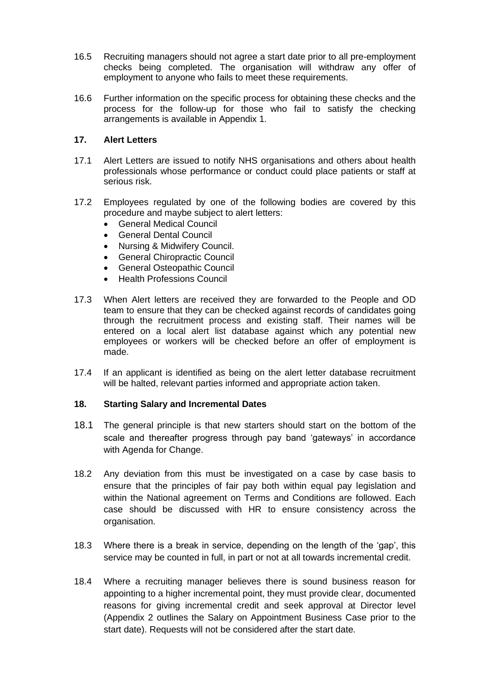- 16.5 Recruiting managers should not agree a start date prior to all pre-employment checks being completed. The organisation will withdraw any offer of employment to anyone who fails to meet these requirements.
- 16.6 Further information on the specific process for obtaining these checks and the process for the follow-up for those who fail to satisfy the checking arrangements is available in Appendix 1.

## **17. Alert Letters**

- 17.1 Alert Letters are issued to notify NHS organisations and others about health professionals whose performance or conduct could place patients or staff at serious risk.
- 17.2 Employees regulated by one of the following bodies are covered by this procedure and maybe subject to alert letters:
	- General Medical Council
	- General Dental Council
	- Nursing & Midwifery Council.
	- General Chiropractic Council
	- General Osteopathic Council
	- Health Professions Council
- 17.3 When Alert letters are received they are forwarded to the People and OD team to ensure that they can be checked against records of candidates going through the recruitment process and existing staff. Their names will be entered on a local alert list database against which any potential new employees or workers will be checked before an offer of employment is made.
- 17.4 If an applicant is identified as being on the alert letter database recruitment will be halted, relevant parties informed and appropriate action taken.

## **18. Starting Salary and Incremental Dates**

- 18.1 The general principle is that new starters should start on the bottom of the scale and thereafter progress through pay band 'gateways' in accordance with Agenda for Change.
- 18.2 Any deviation from this must be investigated on a case by case basis to ensure that the principles of fair pay both within equal pay legislation and within the National agreement on Terms and Conditions are followed. Each case should be discussed with HR to ensure consistency across the organisation.
- 18.3 Where there is a break in service, depending on the length of the 'gap', this service may be counted in full, in part or not at all towards incremental credit.
- 18.4 Where a recruiting manager believes there is sound business reason for appointing to a higher incremental point, they must provide clear, documented reasons for giving incremental credit and seek approval at Director level (Appendix 2 outlines the Salary on Appointment Business Case prior to the start date). Requests will not be considered after the start date.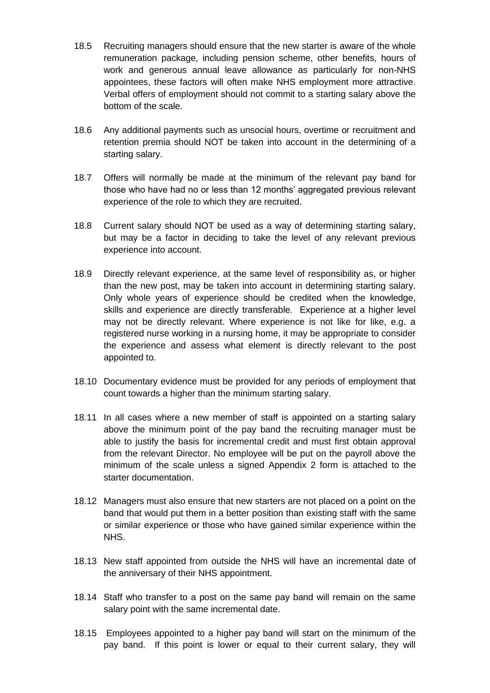- 18.5 Recruiting managers should ensure that the new starter is aware of the whole remuneration package, including pension scheme, other benefits, hours of work and generous annual leave allowance as particularly for non-NHS appointees, these factors will often make NHS employment more attractive. Verbal offers of employment should not commit to a starting salary above the bottom of the scale.
- 18.6 Any additional payments such as unsocial hours, overtime or recruitment and retention premia should NOT be taken into account in the determining of a starting salary.
- 18.7 Offers will normally be made at the minimum of the relevant pay band for those who have had no or less than 12 months' aggregated previous relevant experience of the role to which they are recruited.
- 18.8 Current salary should NOT be used as a way of determining starting salary, but may be a factor in deciding to take the level of any relevant previous experience into account.
- 18.9 Directly relevant experience, at the same level of responsibility as, or higher than the new post, may be taken into account in determining starting salary. Only whole years of experience should be credited when the knowledge, skills and experience are directly transferable. Experience at a higher level may not be directly relevant. Where experience is not like for like, e.g. a registered nurse working in a nursing home, it may be appropriate to consider the experience and assess what element is directly relevant to the post appointed to.
- 18.10 Documentary evidence must be provided for any periods of employment that count towards a higher than the minimum starting salary.
- 18.11 In all cases where a new member of staff is appointed on a starting salary above the minimum point of the pay band the recruiting manager must be able to justify the basis for incremental credit and must first obtain approval from the relevant Director. No employee will be put on the payroll above the minimum of the scale unless a signed Appendix 2 form is attached to the starter documentation.
- 18.12 Managers must also ensure that new starters are not placed on a point on the band that would put them in a better position than existing staff with the same or similar experience or those who have gained similar experience within the NHS.
- 18.13 New staff appointed from outside the NHS will have an incremental date of the anniversary of their NHS appointment.
- 18.14 Staff who transfer to a post on the same pay band will remain on the same salary point with the same incremental date.
- 18.15 Employees appointed to a higher pay band will start on the minimum of the pay band. If this point is lower or equal to their current salary, they will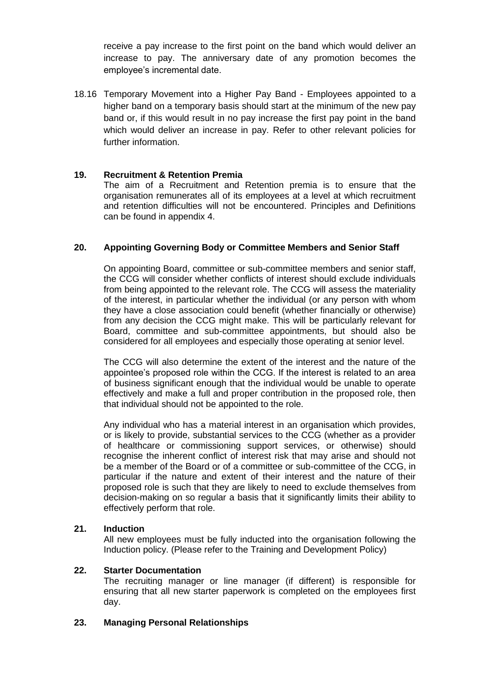receive a pay increase to the first point on the band which would deliver an increase to pay. The anniversary date of any promotion becomes the employee's incremental date.

18.16 Temporary Movement into a Higher Pay Band - Employees appointed to a higher band on a temporary basis should start at the minimum of the new pay band or, if this would result in no pay increase the first pay point in the band which would deliver an increase in pay. Refer to other relevant policies for further information.

### **19. Recruitment & Retention Premia**

The aim of a Recruitment and Retention premia is to ensure that the organisation remunerates all of its employees at a level at which recruitment and retention difficulties will not be encountered. Principles and Definitions can be found in appendix 4.

## **20. Appointing Governing Body or Committee Members and Senior Staff**

On appointing Board, committee or sub-committee members and senior staff, the CCG will consider whether conflicts of interest should exclude individuals from being appointed to the relevant role. The CCG will assess the materiality of the interest, in particular whether the individual (or any person with whom they have a close association could benefit (whether financially or otherwise) from any decision the CCG might make. This will be particularly relevant for Board, committee and sub-committee appointments, but should also be considered for all employees and especially those operating at senior level.

The CCG will also determine the extent of the interest and the nature of the appointee's proposed role within the CCG. If the interest is related to an area of business significant enough that the individual would be unable to operate effectively and make a full and proper contribution in the proposed role, then that individual should not be appointed to the role.

Any individual who has a material interest in an organisation which provides, or is likely to provide, substantial services to the CCG (whether as a provider of healthcare or commissioning support services, or otherwise) should recognise the inherent conflict of interest risk that may arise and should not be a member of the Board or of a committee or sub-committee of the CCG, in particular if the nature and extent of their interest and the nature of their proposed role is such that they are likely to need to exclude themselves from decision-making on so regular a basis that it significantly limits their ability to effectively perform that role.

#### **21. Induction**

All new employees must be fully inducted into the organisation following the Induction policy. (Please refer to the Training and Development Policy)

#### **22. Starter Documentation**

The recruiting manager or line manager (if different) is responsible for ensuring that all new starter paperwork is completed on the employees first day.

#### **23. Managing Personal Relationships**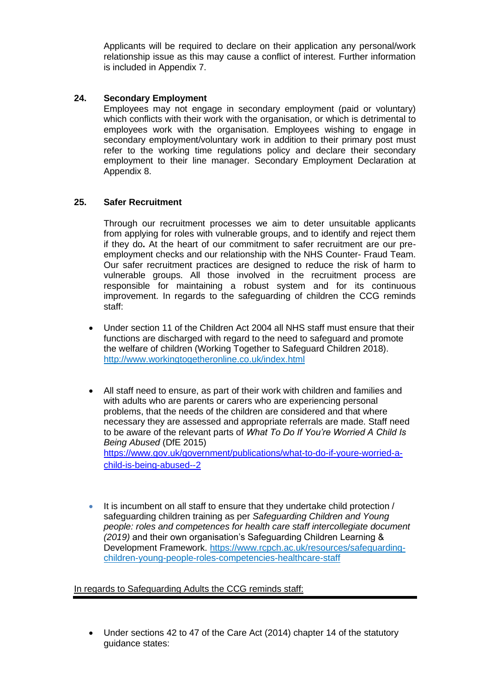Applicants will be required to declare on their application any personal/work relationship issue as this may cause a conflict of interest. Further information is included in Appendix 7.

## **24. Secondary Employment**

Employees may not engage in secondary employment (paid or voluntary) which conflicts with their work with the organisation, or which is detrimental to employees work with the organisation. Employees wishing to engage in secondary employment/voluntary work in addition to their primary post must refer to the working time regulations policy and declare their secondary employment to their line manager. Secondary Employment Declaration at Appendix 8.

## **25. Safer Recruitment**

Through our recruitment processes we aim to deter unsuitable applicants from applying for roles with vulnerable groups, and to identify and reject them if they do**.** At the heart of our commitment to safer recruitment are our preemployment checks and our relationship with the NHS Counter- Fraud Team. Our safer recruitment practices are designed to reduce the risk of harm to vulnerable groups. All those involved in the recruitment process are responsible for maintaining a robust system and for its continuous improvement. In regards to the safeguarding of children the CCG reminds staff:

- Under section 11 of the Children Act 2004 all NHS staff must ensure that their functions are discharged with regard to the need to safeguard and promote the welfare of children (Working Together to Safeguard Children 2018). <http://www.workingtogetheronline.co.uk/index.html>
- All staff need to ensure, as part of their work with children and families and with adults who are parents or carers who are experiencing personal problems, that the needs of the children are considered and that where necessary they are assessed and appropriate referrals are made. Staff need to be aware of the relevant parts of *What To Do If You're Worried A Child Is Being Abused* (DfE 2015) [https://www.gov.uk/government/publications/what-to-do-if-youre-worried-a](https://www.gov.uk/government/publications/what-to-do-if-youre-worried-a-child-is-being-abused--2)[child-is-being-abused--2](https://www.gov.uk/government/publications/what-to-do-if-youre-worried-a-child-is-being-abused--2)
- It is incumbent on all staff to ensure that they undertake child protection / safeguarding children training as per *Safeguarding Children and Young people: roles and competences for health care staff intercollegiate document (2019)* and their own organisation's Safeguarding Children Learning & Development Framework. [https://www.rcpch.ac.uk/resources/safeguarding](https://www.rcpch.ac.uk/resources/safeguarding-children-young-people-roles-competencies-healthcare-staff)[children-young-people-roles-competencies-healthcare-staff](https://www.rcpch.ac.uk/resources/safeguarding-children-young-people-roles-competencies-healthcare-staff)

In regards to Safeguarding Adults the CCG reminds staff:

• Under sections 42 to 47 of the Care Act (2014) chapter 14 of the statutory guidance states: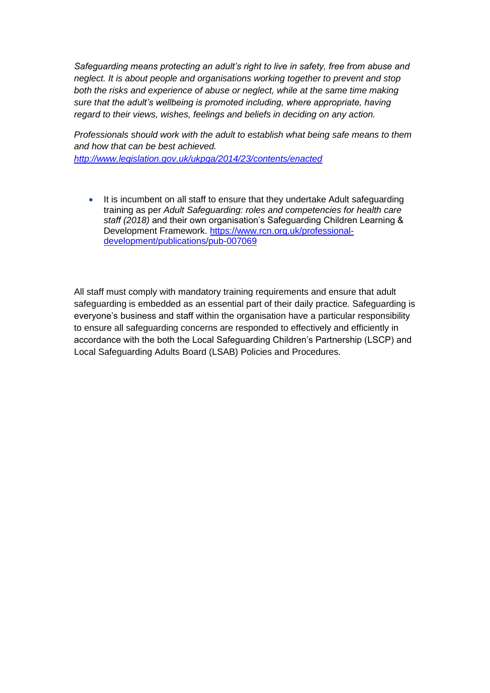*Safeguarding means protecting an adult's right to live in safety, free from abuse and neglect. It is about people and organisations working together to prevent and stop both the risks and experience of abuse or neglect, while at the same time making sure that the adult's wellbeing is promoted including, where appropriate, having regard to their views, wishes, feelings and beliefs in deciding on any action.* 

*Professionals should work with the adult to establish what being safe means to them and how that can be best achieved. <http://www.legislation.gov.uk/ukpga/2014/23/contents/enacted>*

• It is incumbent on all staff to ensure that they undertake Adult safeguarding training as per *Adult Safeguarding: roles and competencies for health care staff (2018)* and their own organisation's Safeguarding Children Learning & Development Framework. [https://www.rcn.org.uk/professional](https://www.rcn.org.uk/professional-development/publications/pub-007069)[development/publications/pub-007069](https://www.rcn.org.uk/professional-development/publications/pub-007069)

All staff must comply with mandatory training requirements and ensure that adult safeguarding is embedded as an essential part of their daily practice. Safeguarding is everyone's business and staff within the organisation have a particular responsibility to ensure all safeguarding concerns are responded to effectively and efficiently in accordance with the both the Local Safeguarding Children's Partnership (LSCP) and Local Safeguarding Adults Board (LSAB) Policies and Procedures.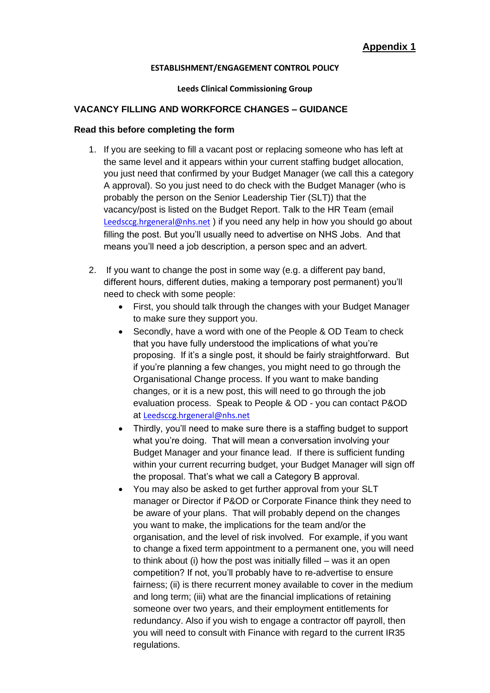#### **ESTABLISHMENT/ENGAGEMENT CONTROL POLICY**

#### **Leeds Clinical Commissioning Group**

## **VACANCY FILLING AND WORKFORCE CHANGES – GUIDANCE**

#### **Read this before completing the form**

- 1. If you are seeking to fill a vacant post or replacing someone who has left at the same level and it appears within your current staffing budget allocation, you just need that confirmed by your Budget Manager (we call this a category A approval). So you just need to do check with the Budget Manager (who is probably the person on the Senior Leadership Tier (SLT)) that the vacancy/post is listed on the Budget Report. Talk to the HR Team (email [Leedsccg.hrgeneral@nhs.net](mailto:Leedsccg.hrgeneral@nhs.net) ) if you need any help in how you should go about filling the post. But you'll usually need to advertise on NHS Jobs. And that means you'll need a job description, a person spec and an advert.
- 2. If you want to change the post in some way (e.g. a different pay band, different hours, different duties, making a temporary post permanent) you'll need to check with some people:
	- First, you should talk through the changes with your Budget Manager to make sure they support you.
	- Secondly, have a word with one of the People & OD Team to check that you have fully understood the implications of what you're proposing. If it's a single post, it should be fairly straightforward. But if you're planning a few changes, you might need to go through the Organisational Change process. If you want to make banding changes, or it is a new post, this will need to go through the job evaluation process. Speak to People & OD - you can contact P&OD at [Leedsccg.hrgeneral@nhs.net](mailto:Leedsccg.hrgeneral@nhs.net)
	- Thirdly, you'll need to make sure there is a staffing budget to support what you're doing. That will mean a conversation involving your Budget Manager and your finance lead. If there is sufficient funding within your current recurring budget, your Budget Manager will sign off the proposal. That's what we call a Category B approval.
	- You may also be asked to get further approval from your SLT manager or Director if P&OD or Corporate Finance think they need to be aware of your plans. That will probably depend on the changes you want to make, the implications for the team and/or the organisation, and the level of risk involved. For example, if you want to change a fixed term appointment to a permanent one, you will need to think about (i) how the post was initially filled – was it an open competition? If not, you'll probably have to re-advertise to ensure fairness; (ii) is there recurrent money available to cover in the medium and long term; (iii) what are the financial implications of retaining someone over two years, and their employment entitlements for redundancy. Also if you wish to engage a contractor off payroll, then you will need to consult with Finance with regard to the current IR35 regulations.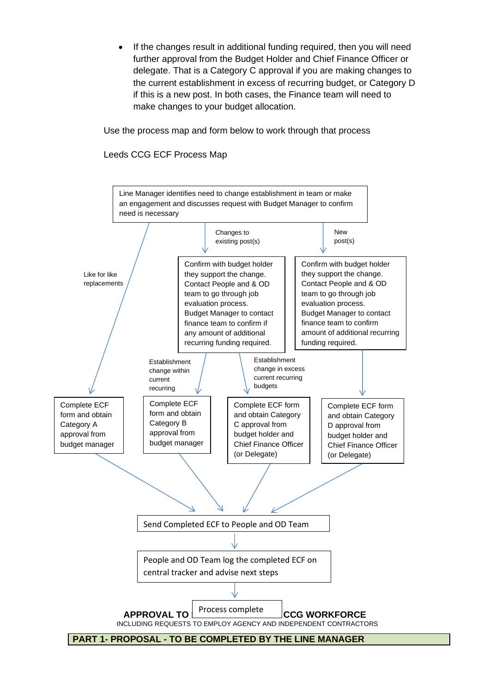If the changes result in additional funding required, then you will need further approval from the Budget Holder and Chief Finance Officer or delegate. That is a Category C approval if you are making changes to the current establishment in excess of recurring budget, or Category D if this is a new post. In both cases, the Finance team will need to make changes to your budget allocation.

Use the process map and form below to work through that process

Leeds CCG ECF Process Map

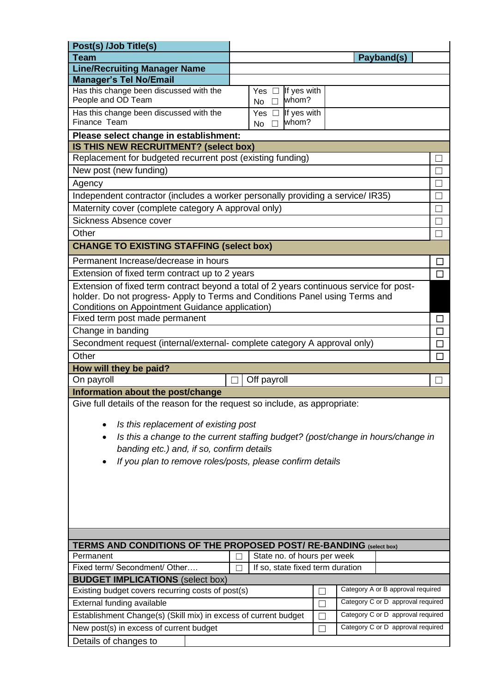| Post(s) /Job Title(s)                                                                                                                                                                                                                                     |                                   |                                                    |  |  |                                   |        |
|-----------------------------------------------------------------------------------------------------------------------------------------------------------------------------------------------------------------------------------------------------------|-----------------------------------|----------------------------------------------------|--|--|-----------------------------------|--------|
| Team                                                                                                                                                                                                                                                      |                                   |                                                    |  |  | Payband(s)                        |        |
| <b>Line/Recruiting Manager Name</b>                                                                                                                                                                                                                       |                                   |                                                    |  |  |                                   |        |
| <b>Manager's Tel No/Email</b>                                                                                                                                                                                                                             |                                   |                                                    |  |  |                                   |        |
| Has this change been discussed with the<br>People and OD Team                                                                                                                                                                                             |                                   | If yes with<br>Yes $\square$<br>whom?<br>No        |  |  |                                   |        |
| Has this change been discussed with the<br>Finance Team                                                                                                                                                                                                   |                                   | If yes with<br>Yes $\square$<br>whom?<br><b>No</b> |  |  |                                   |        |
| Please select change in establishment:                                                                                                                                                                                                                    |                                   |                                                    |  |  |                                   |        |
| IS THIS NEW RECRUITMENT? (select box)                                                                                                                                                                                                                     |                                   |                                                    |  |  |                                   |        |
| Replacement for budgeted recurrent post (existing funding)                                                                                                                                                                                                |                                   |                                                    |  |  |                                   |        |
| New post (new funding)                                                                                                                                                                                                                                    |                                   |                                                    |  |  |                                   |        |
| Agency                                                                                                                                                                                                                                                    |                                   |                                                    |  |  |                                   | П      |
| Independent contractor (includes a worker personally providing a service/ IR35)                                                                                                                                                                           |                                   |                                                    |  |  |                                   | ٦      |
| Maternity cover (complete category A approval only)                                                                                                                                                                                                       |                                   |                                                    |  |  |                                   | ┑      |
| Sickness Absence cover                                                                                                                                                                                                                                    |                                   |                                                    |  |  |                                   | H      |
| Other                                                                                                                                                                                                                                                     |                                   |                                                    |  |  |                                   |        |
|                                                                                                                                                                                                                                                           |                                   |                                                    |  |  |                                   |        |
| <b>CHANGE TO EXISTING STAFFING (select box)</b>                                                                                                                                                                                                           |                                   |                                                    |  |  |                                   |        |
| Permanent Increase/decrease in hours                                                                                                                                                                                                                      |                                   |                                                    |  |  |                                   | $\Box$ |
| Extension of fixed term contract up to 2 years                                                                                                                                                                                                            |                                   |                                                    |  |  |                                   | $\Box$ |
| Extension of fixed term contract beyond a total of 2 years continuous service for post-<br>holder. Do not progress- Apply to Terms and Conditions Panel using Terms and                                                                                   |                                   |                                                    |  |  |                                   |        |
| Conditions on Appointment Guidance application)                                                                                                                                                                                                           |                                   |                                                    |  |  |                                   |        |
| Fixed term post made permanent                                                                                                                                                                                                                            |                                   |                                                    |  |  |                                   | ப      |
| Change in banding                                                                                                                                                                                                                                         |                                   |                                                    |  |  |                                   | $\Box$ |
| Secondment request (internal/external-complete category A approval only)                                                                                                                                                                                  |                                   |                                                    |  |  | $\Box$                            |        |
| Other<br>П                                                                                                                                                                                                                                                |                                   |                                                    |  |  |                                   |        |
| How will they be paid?                                                                                                                                                                                                                                    |                                   |                                                    |  |  |                                   |        |
| On payroll<br>Off payroll                                                                                                                                                                                                                                 |                                   |                                                    |  |  |                                   |        |
| Information about the post/change                                                                                                                                                                                                                         |                                   |                                                    |  |  |                                   |        |
| Give full details of the reason for the request so include, as appropriate:<br>Is this replacement of existing post<br>٠<br>Is this a change to the current staffing budget? (post/change in hours/change in<br>banding etc.) and, if so, confirm details |                                   |                                                    |  |  |                                   |        |
| If you plan to remove roles/posts, please confirm details                                                                                                                                                                                                 |                                   |                                                    |  |  |                                   |        |
|                                                                                                                                                                                                                                                           |                                   |                                                    |  |  |                                   |        |
|                                                                                                                                                                                                                                                           |                                   |                                                    |  |  |                                   |        |
|                                                                                                                                                                                                                                                           |                                   |                                                    |  |  |                                   |        |
|                                                                                                                                                                                                                                                           |                                   |                                                    |  |  |                                   |        |
| TERMS AND CONDITIONS OF THE PROPOSED POST/ RE-BANDING (select box)                                                                                                                                                                                        |                                   |                                                    |  |  |                                   |        |
| State no. of hours per week<br>Permanent                                                                                                                                                                                                                  |                                   |                                                    |  |  |                                   |        |
| Fixed term/ Secondment/ Other<br>If so, state fixed term duration                                                                                                                                                                                         |                                   |                                                    |  |  |                                   |        |
| <b>BUDGET IMPLICATIONS (select box)</b>                                                                                                                                                                                                                   |                                   |                                                    |  |  |                                   |        |
| Category A or B approval required<br>Existing budget covers recurring costs of post(s)                                                                                                                                                                    |                                   |                                                    |  |  |                                   |        |
| External funding available                                                                                                                                                                                                                                | Category C or D approval required |                                                    |  |  |                                   |        |
| Category C or D approval required<br>Establishment Change(s) (Skill mix) in excess of current budget                                                                                                                                                      |                                   |                                                    |  |  |                                   |        |
| New post(s) in excess of current budget                                                                                                                                                                                                                   |                                   |                                                    |  |  | Category C or D approval required |        |
| Details of changes to                                                                                                                                                                                                                                     |                                   |                                                    |  |  |                                   |        |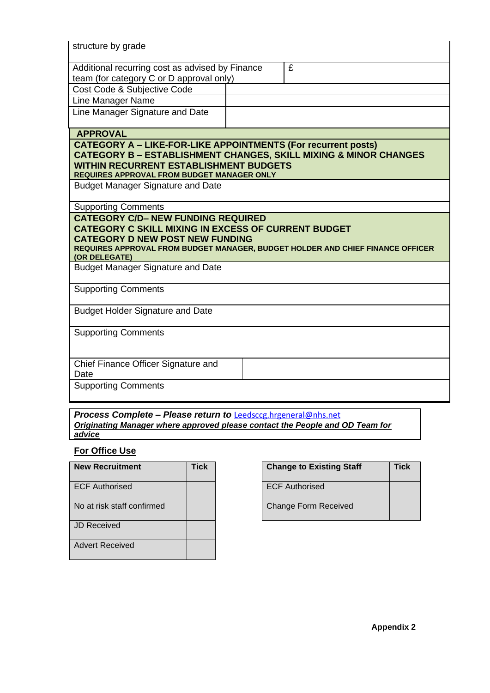| structure by grade                                                                                                                                                         |                                                                                |
|----------------------------------------------------------------------------------------------------------------------------------------------------------------------------|--------------------------------------------------------------------------------|
| Additional recurring cost as advised by Finance<br>team (for category C or D approval only)                                                                                | £                                                                              |
| Cost Code & Subjective Code                                                                                                                                                |                                                                                |
| Line Manager Name                                                                                                                                                          |                                                                                |
| Line Manager Signature and Date                                                                                                                                            |                                                                                |
| <b>APPROVAL</b>                                                                                                                                                            |                                                                                |
| <b>CATEGORY A - LIKE-FOR-LIKE APPOINTMENTS (For recurrent posts)</b><br><b>WITHIN RECURRENT ESTABLISHMENT BUDGETS</b><br><b>REQUIRES APPROVAL FROM BUDGET MANAGER ONLY</b> | <b>CATEGORY B - ESTABLISHMENT CHANGES, SKILL MIXING &amp; MINOR CHANGES</b>    |
| <b>Budget Manager Signature and Date</b>                                                                                                                                   |                                                                                |
| <b>Supporting Comments</b>                                                                                                                                                 |                                                                                |
| <b>CATEGORY C/D- NEW FUNDING REQUIRED</b><br><b>CATEGORY C SKILL MIXING IN EXCESS OF CURRENT BUDGET</b><br><b>CATEGORY D NEW POST NEW FUNDING</b><br>(OR DELEGATE)         | REQUIRES APPROVAL FROM BUDGET MANAGER, BUDGET HOLDER AND CHIEF FINANCE OFFICER |
| <b>Budget Manager Signature and Date</b>                                                                                                                                   |                                                                                |
| <b>Supporting Comments</b>                                                                                                                                                 |                                                                                |
| <b>Budget Holder Signature and Date</b>                                                                                                                                    |                                                                                |
| <b>Supporting Comments</b>                                                                                                                                                 |                                                                                |
| Chief Finance Officer Signature and<br>Date                                                                                                                                |                                                                                |
| <b>Supporting Comments</b>                                                                                                                                                 |                                                                                |

*Process Complete – Please return to* [Leedsccg.hrgeneral@nhs.net](mailto:Leedsccg.hrgeneral@nhs.net) *Originating Manager where approved please contact the People and OD Team for advice* 

# **For Office Use**

| <b>New Recruitment</b>     | Tick | <b>Change to Existing Sta</b> |
|----------------------------|------|-------------------------------|
| <b>ECF Authorised</b>      |      | <b>ECF Authorised</b>         |
| No at risk staff confirmed |      | <b>Change Form Received</b>   |
| JD Received                |      |                               |
| <b>Advert Received</b>     |      |                               |

| <b>New Recruitment</b>     | Tick | <b>Change to Existing Staff</b> | Tick |
|----------------------------|------|---------------------------------|------|
| <b>ECF Authorised</b>      |      | <b>ECF Authorised</b>           |      |
| No at risk staff confirmed |      | <b>Change Form Received</b>     |      |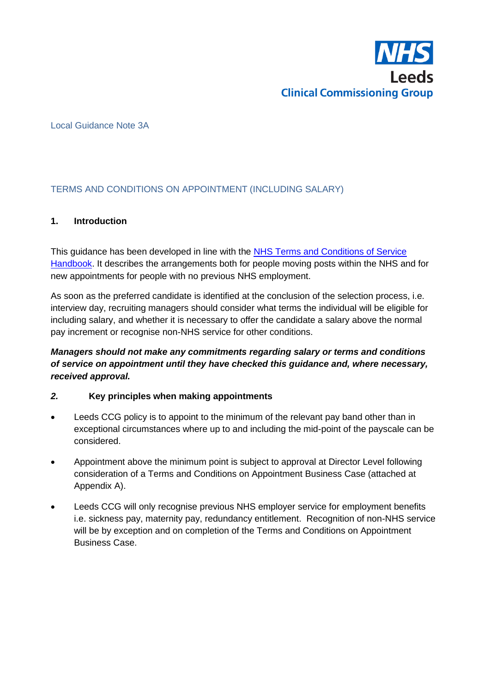

## Local Guidance Note 3A

# TERMS AND CONDITIONS ON APPOINTMENT (INCLUDING SALARY)

## **1. Introduction**

This guidance has been developed in line with the NHS Terms and Conditions of Service [Handbook.](http://www.nhsemployers.org/tchandbook) It describes the arrangements both for people moving posts within the NHS and for new appointments for people with no previous NHS employment.

As soon as the preferred candidate is identified at the conclusion of the selection process, i.e. interview day, recruiting managers should consider what terms the individual will be eligible for including salary, and whether it is necessary to offer the candidate a salary above the normal pay increment or recognise non-NHS service for other conditions.

# *Managers should not make any commitments regarding salary or terms and conditions of service on appointment until they have checked this guidance and, where necessary, received approval.*

# *2.* **Key principles when making appointments**

- Leeds CCG policy is to appoint to the minimum of the relevant pay band other than in exceptional circumstances where up to and including the mid-point of the payscale can be considered.
- Appointment above the minimum point is subject to approval at Director Level following consideration of a Terms and Conditions on Appointment Business Case (attached at Appendix A).
- Leeds CCG will only recognise previous NHS employer service for employment benefits i.e. sickness pay, maternity pay, redundancy entitlement. Recognition of non-NHS service will be by exception and on completion of the Terms and Conditions on Appointment Business Case.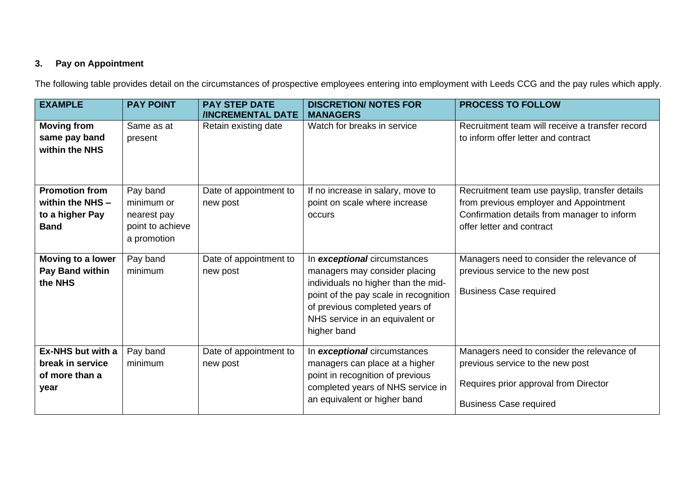# **3. Pay on Appointment**

The following table provides detail on the circumstances of prospective employees entering into employment with Leeds CCG and the pay rules which apply.

| <b>EXAMPLE</b>                                                              | <b>PAY POINT</b>                                                         | <b>PAY STEP DATE</b><br><b>/INCREMENTAL DATE</b> | <b>DISCRETION/ NOTES FOR</b><br><b>MANAGERS</b>                                                                                                                                                                                   | <b>PROCESS TO FOLLOW</b>                                                                                                                                             |
|-----------------------------------------------------------------------------|--------------------------------------------------------------------------|--------------------------------------------------|-----------------------------------------------------------------------------------------------------------------------------------------------------------------------------------------------------------------------------------|----------------------------------------------------------------------------------------------------------------------------------------------------------------------|
| <b>Moving from</b><br>same pay band<br>within the NHS                       | Same as at<br>present                                                    | Retain existing date                             | Watch for breaks in service                                                                                                                                                                                                       | Recruitment team will receive a transfer record<br>to inform offer letter and contract                                                                               |
| <b>Promotion from</b><br>within the NHS -<br>to a higher Pay<br><b>Band</b> | Pay band<br>minimum or<br>nearest pay<br>point to achieve<br>a promotion | Date of appointment to<br>new post               | If no increase in salary, move to<br>point on scale where increase<br>occurs                                                                                                                                                      | Recruitment team use payslip, transfer details<br>from previous employer and Appointment<br>Confirmation details from manager to inform<br>offer letter and contract |
| Moving to a lower<br>Pay Band within<br>the NHS                             | Pay band<br>minimum                                                      | Date of appointment to<br>new post               | In exceptional circumstances<br>managers may consider placing<br>individuals no higher than the mid-<br>point of the pay scale in recognition<br>of previous completed years of<br>NHS service in an equivalent or<br>higher band | Managers need to consider the relevance of<br>previous service to the new post<br><b>Business Case required</b>                                                      |
| Ex-NHS but with a<br>break in service<br>of more than a<br>year             | Pay band<br>minimum                                                      | Date of appointment to<br>new post               | In exceptional circumstances<br>managers can place at a higher<br>point in recognition of previous<br>completed years of NHS service in<br>an equivalent or higher band                                                           | Managers need to consider the relevance of<br>previous service to the new post<br>Requires prior approval from Director<br><b>Business Case required</b>             |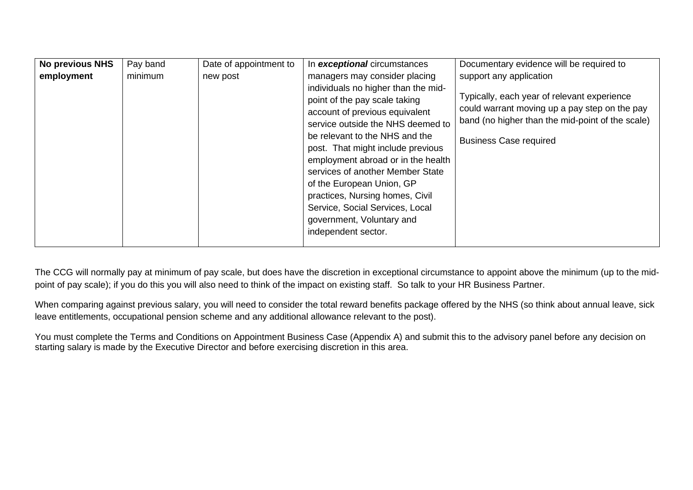| <b>No previous NHS</b> | Pay band | Date of appointment to | In exceptional circumstances                                                                                                                                                                                                                                                                                                                                                                                                                        | Documentary evidence will be required to                                                                                                                                          |
|------------------------|----------|------------------------|-----------------------------------------------------------------------------------------------------------------------------------------------------------------------------------------------------------------------------------------------------------------------------------------------------------------------------------------------------------------------------------------------------------------------------------------------------|-----------------------------------------------------------------------------------------------------------------------------------------------------------------------------------|
| employment             | minimum  | new post               | managers may consider placing                                                                                                                                                                                                                                                                                                                                                                                                                       | support any application                                                                                                                                                           |
|                        |          |                        | individuals no higher than the mid-<br>point of the pay scale taking<br>account of previous equivalent<br>service outside the NHS deemed to<br>be relevant to the NHS and the<br>post. That might include previous<br>employment abroad or in the health<br>services of another Member State<br>of the European Union, GP<br>practices, Nursing homes, Civil<br>Service, Social Services, Local<br>government, Voluntary and<br>independent sector. | Typically, each year of relevant experience<br>could warrant moving up a pay step on the pay<br>band (no higher than the mid-point of the scale)<br><b>Business Case required</b> |

The CCG will normally pay at minimum of pay scale, but does have the discretion in exceptional circumstance to appoint above the minimum (up to the midpoint of pay scale); if you do this you will also need to think of the impact on existing staff. So talk to your HR Business Partner.

When comparing against previous salary, you will need to consider the total reward benefits package offered by the NHS (so think about annual leave, sick leave entitlements, occupational pension scheme and any additional allowance relevant to the post).

You must complete the Terms and Conditions on Appointment Business Case (Appendix A) and submit this to the advisory panel before any decision on starting salary is made by the Executive Director and before exercising discretion in this area.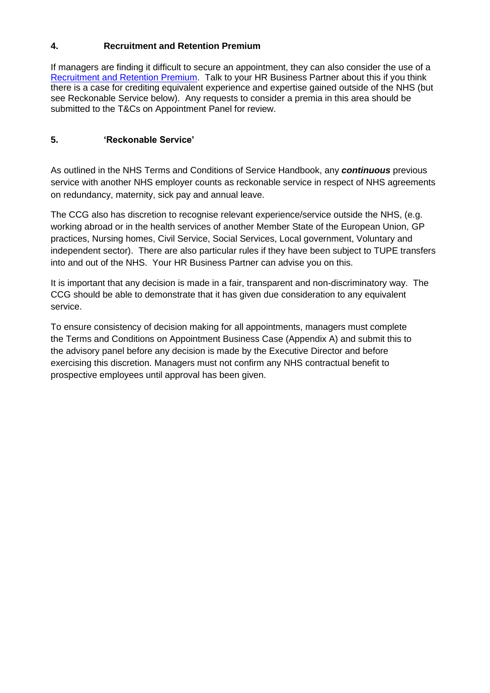# **4. Recruitment and Retention Premium**

If managers are finding it difficult to secure an appointment, they can also consider the use of a [Recruitment and Retention Premium.](http://www.nhsemployers.org/tchandbook/annex-4-to-10/annex-10-local-recruitment-and-retention-premia) Talk to your HR Business Partner about this if you think there is a case for crediting equivalent experience and expertise gained outside of the NHS (but see Reckonable Service below). Any requests to consider a premia in this area should be submitted to the T&Cs on Appointment Panel for review.

# **5. 'Reckonable Service'**

As outlined in the NHS Terms and Conditions of Service Handbook, any *continuous* previous service with another NHS employer counts as reckonable service in respect of NHS agreements on redundancy, maternity, sick pay and annual leave.

The CCG also has discretion to recognise relevant experience/service outside the NHS, (e.g. working abroad or in the health services of another Member State of the European Union, GP practices, Nursing homes, Civil Service, Social Services, Local government, Voluntary and independent sector). There are also particular rules if they have been subject to TUPE transfers into and out of the NHS. Your HR Business Partner can advise you on this.

It is important that any decision is made in a fair, transparent and non-discriminatory way. The CCG should be able to demonstrate that it has given due consideration to any equivalent service.

To ensure consistency of decision making for all appointments, managers must complete the Terms and Conditions on Appointment Business Case (Appendix A) and submit this to the advisory panel before any decision is made by the Executive Director and before exercising this discretion. Managers must not confirm any NHS contractual benefit to prospective employees until approval has been given.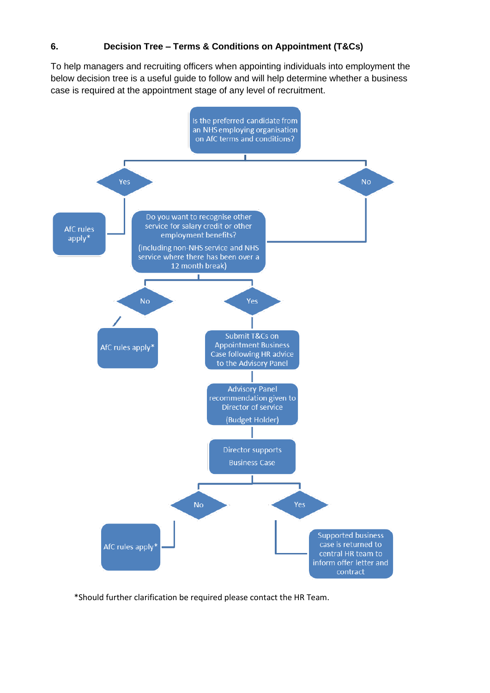# **6. Decision Tree – Terms & Conditions on Appointment (T&Cs)**

To help managers and recruiting officers when appointing individuals into employment the below decision tree is a useful guide to follow and will help determine whether a business case is required at the appointment stage of any level of recruitment.



\*Should further clarification be required please contact the HR Team.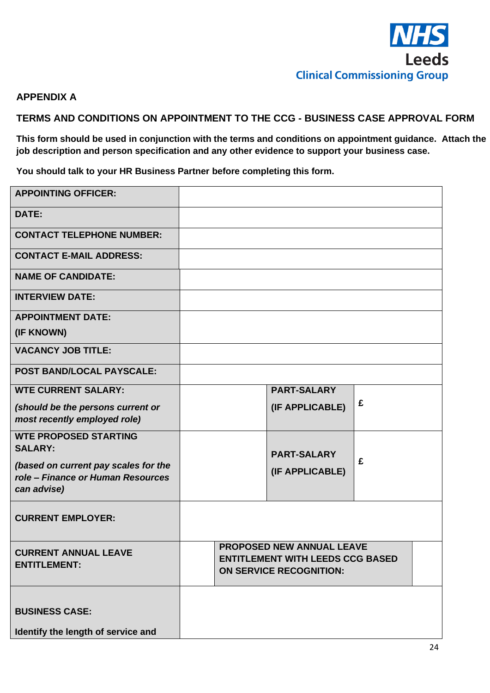

# **APPENDIX A**

**TERMS AND CONDITIONS ON APPOINTMENT TO THE CCG - BUSINESS CASE APPROVAL FORM** 

**This form should be used in conjunction with the terms and conditions on appointment guidance. Attach the job description and person specification and any other evidence to support your business case.** 

**You should talk to your HR Business Partner before completing this form.**

| <b>APPOINTING OFFICER:</b>           |  |                                         |   |
|--------------------------------------|--|-----------------------------------------|---|
| DATE:                                |  |                                         |   |
| <b>CONTACT TELEPHONE NUMBER:</b>     |  |                                         |   |
| <b>CONTACT E-MAIL ADDRESS:</b>       |  |                                         |   |
| <b>NAME OF CANDIDATE:</b>            |  |                                         |   |
| <b>INTERVIEW DATE:</b>               |  |                                         |   |
| <b>APPOINTMENT DATE:</b>             |  |                                         |   |
| (IF KNOWN)                           |  |                                         |   |
| <b>VACANCY JOB TITLE:</b>            |  |                                         |   |
| <b>POST BAND/LOCAL PAYSCALE:</b>     |  |                                         |   |
| <b>WTE CURRENT SALARY:</b>           |  | <b>PART-SALARY</b>                      |   |
| (should be the persons current or    |  | (IF APPLICABLE)                         | £ |
| most recently employed role)         |  |                                         |   |
| <b>WTE PROPOSED STARTING</b>         |  |                                         |   |
| <b>SALARY:</b>                       |  | <b>PART-SALARY</b>                      |   |
| (based on current pay scales for the |  | (IF APPLICABLE)                         | £ |
| role – Finance or Human Resources    |  |                                         |   |
| can advise)                          |  |                                         |   |
| <b>CURRENT EMPLOYER:</b>             |  |                                         |   |
|                                      |  |                                         |   |
| <b>CURRENT ANNUAL LEAVE</b>          |  | <b>PROPOSED NEW ANNUAL LEAVE</b>        |   |
| <b>ENTITLEMENT:</b>                  |  | <b>ENTITLEMENT WITH LEEDS CCG BASED</b> |   |
|                                      |  | <b>ON SERVICE RECOGNITION:</b>          |   |
|                                      |  |                                         |   |
| <b>BUSINESS CASE:</b>                |  |                                         |   |
|                                      |  |                                         |   |
| Identify the length of service and   |  |                                         |   |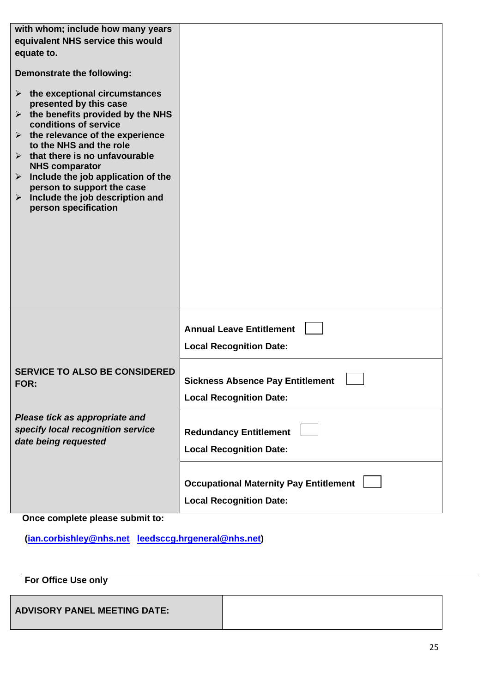| with whom; include how many years<br>equivalent NHS service this would<br>equate to.<br>Demonstrate the following:<br>$\triangleright$ the exceptional circumstances<br>presented by this case<br>$\triangleright$ the benefits provided by the NHS<br>conditions of service<br>$\triangleright$ the relevance of the experience<br>to the NHS and the role<br>$\triangleright$ that there is no unfavourable<br><b>NHS comparator</b><br>$\triangleright$ Include the job application of the<br>person to support the case<br>$\triangleright$ Include the job description and<br>person specification |                                                                                 |
|---------------------------------------------------------------------------------------------------------------------------------------------------------------------------------------------------------------------------------------------------------------------------------------------------------------------------------------------------------------------------------------------------------------------------------------------------------------------------------------------------------------------------------------------------------------------------------------------------------|---------------------------------------------------------------------------------|
|                                                                                                                                                                                                                                                                                                                                                                                                                                                                                                                                                                                                         | <b>Annual Leave Entitlement</b><br><b>Local Recognition Date:</b>               |
| <b>SERVICE TO ALSO BE CONSIDERED</b><br>FOR:                                                                                                                                                                                                                                                                                                                                                                                                                                                                                                                                                            | <b>Sickness Absence Pay Entitlement</b><br><b>Local Recognition Date:</b>       |
| Please tick as appropriate and<br>specify local recognition service<br>date being requested                                                                                                                                                                                                                                                                                                                                                                                                                                                                                                             | <b>Redundancy Entitlement</b><br><b>Local Recognition Date:</b>                 |
|                                                                                                                                                                                                                                                                                                                                                                                                                                                                                                                                                                                                         | <b>Occupational Maternity Pay Entitlement</b><br><b>Local Recognition Date:</b> |

# **Once complete please submit to:**

**[\(ian.corbishley@nhs.net](mailto:ian.corbishley@nhs.net) [leedsccg.hrgeneral@nhs.net\)](mailto:leedsccg.hrgeneral@nhs.net)**

# **For Office Use only**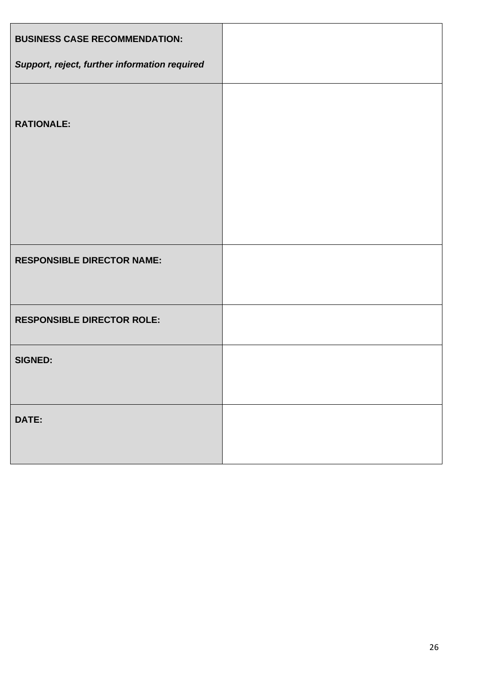| <b>BUSINESS CASE RECOMMENDATION:</b>          |  |
|-----------------------------------------------|--|
| Support, reject, further information required |  |
| <b>RATIONALE:</b>                             |  |
| <b>RESPONSIBLE DIRECTOR NAME:</b>             |  |
| <b>RESPONSIBLE DIRECTOR ROLE:</b>             |  |
| <b>SIGNED:</b>                                |  |
| DATE:                                         |  |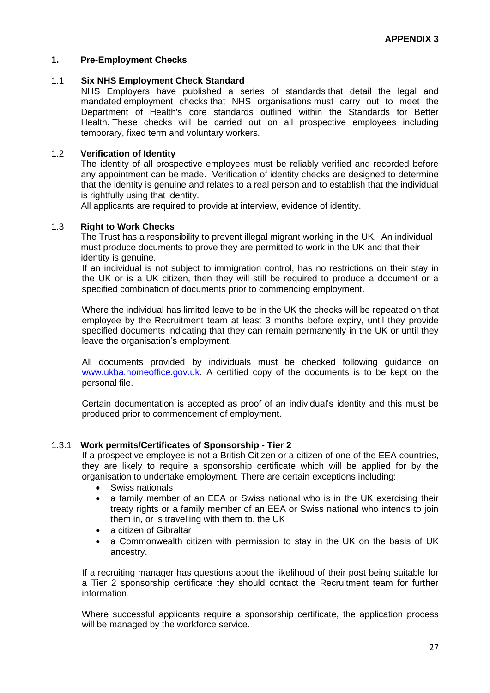## **1. Pre-Employment Checks**

#### 1.1 **Six NHS Employment Check Standard**

NHS Employers have published a series of standards that detail the legal and mandated employment checks that NHS organisations must carry out to meet the Department of Health's core standards outlined within the Standards for Better Health. These checks will be carried out on all prospective employees including temporary, fixed term and voluntary workers.

#### 1.2 **Verification of Identity**

The identity of all prospective employees must be reliably verified and recorded before any appointment can be made. Verification of identity checks are designed to determine that the identity is genuine and relates to a real person and to establish that the individual is rightfully using that identity.

All applicants are required to provide at interview, evidence of identity.

#### 1.3 **Right to Work Checks**

The Trust has a responsibility to prevent illegal migrant working in the UK. An individual must produce documents to prove they are permitted to work in the UK and that their identity is genuine.

If an individual is not subject to immigration control, has no restrictions on their stay in the UK or is a UK citizen, then they will still be required to produce a document or a specified combination of documents prior to commencing employment.

Where the individual has limited leave to be in the UK the checks will be repeated on that employee by the Recruitment team at least 3 months before expiry, until they provide specified documents indicating that they can remain permanently in the UK or until they leave the organisation's employment.

All documents provided by individuals must be checked following guidance on [www.ukba.homeoffice.gov.uk.](http://www.ukba.homeoffice.gov.uk/) A certified copy of the documents is to be kept on the personal file.

Certain documentation is accepted as proof of an individual's identity and this must be produced prior to commencement of employment.

#### 1.3.1 **Work permits/Certificates of Sponsorship - Tier 2**

If a prospective employee is not a British Citizen or a citizen of one of the EEA countries, they are likely to require a sponsorship certificate which will be applied for by the organisation to undertake employment. There are certain exceptions including:

- Swiss nationals
- a family member of an EEA or Swiss national who is in the UK exercising their treaty rights or a family member of an EEA or Swiss national who intends to join them in, or is travelling with them to, the UK
- a citizen of Gibraltar
- a Commonwealth citizen with permission to stay in the UK on the basis of UK ancestry.

If a recruiting manager has questions about the likelihood of their post being suitable for a Tier 2 sponsorship certificate they should contact the Recruitment team for further information.

Where successful applicants require a sponsorship certificate, the application process will be managed by the workforce service.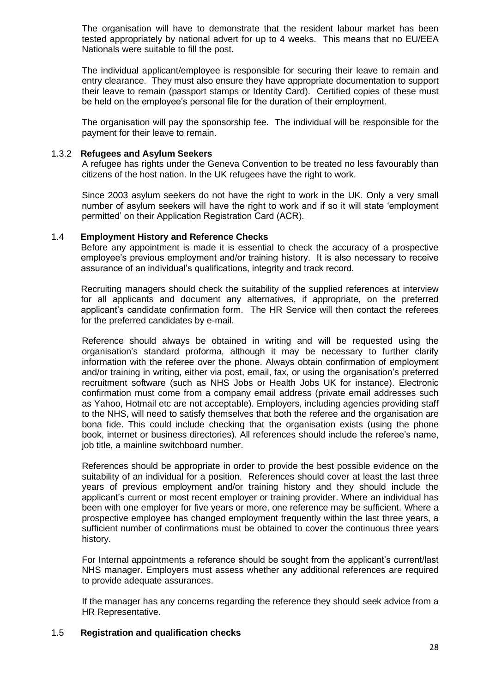The organisation will have to demonstrate that the resident labour market has been tested appropriately by national advert for up to 4 weeks. This means that no EU/EEA Nationals were suitable to fill the post.

The individual applicant/employee is responsible for securing their leave to remain and entry clearance. They must also ensure they have appropriate documentation to support their leave to remain (passport stamps or Identity Card). Certified copies of these must be held on the employee's personal file for the duration of their employment.

The organisation will pay the sponsorship fee. The individual will be responsible for the payment for their leave to remain.

#### 1.3.2 **Refugees and Asylum Seekers**

A refugee has rights under the Geneva Convention to be treated no less favourably than citizens of the host nation. In the UK refugees have the right to work.

Since 2003 asylum seekers do not have the right to work in the UK. Only a very small number of asylum seekers will have the right to work and if so it will state 'employment permitted' on their Application Registration Card (ACR).

#### 1.4 **Employment History and Reference Checks**

Before any appointment is made it is essential to check the accuracy of a prospective employee's previous employment and/or training history. It is also necessary to receive assurance of an individual's qualifications, integrity and track record.

Recruiting managers should check the suitability of the supplied references at interview for all applicants and document any alternatives, if appropriate, on the preferred applicant's candidate confirmation form. The HR Service will then contact the referees for the preferred candidates by e-mail.

Reference should always be obtained in writing and will be requested using the organisation's standard proforma, although it may be necessary to further clarify information with the referee over the phone. Always obtain confirmation of employment and/or training in writing, either via post, email, fax, or using the organisation's preferred recruitment software (such as NHS Jobs or Health Jobs UK for instance). Electronic confirmation must come from a company email address (private email addresses such as Yahoo, Hotmail etc are not acceptable). Employers, including agencies providing staff to the NHS, will need to satisfy themselves that both the referee and the organisation are bona fide. This could include checking that the organisation exists (using the phone book, internet or business directories). All references should include the referee's name, job title, a mainline switchboard number.

References should be appropriate in order to provide the best possible evidence on the suitability of an individual for a position. References should cover at least the last three years of previous employment and/or training history and they should include the applicant's current or most recent employer or training provider. Where an individual has been with one employer for five years or more, one reference may be sufficient. Where a prospective employee has changed employment frequently within the last three years, a sufficient number of confirmations must be obtained to cover the continuous three years history.

For Internal appointments a reference should be sought from the applicant's current/last NHS manager. Employers must assess whether any additional references are required to provide adequate assurances.

If the manager has any concerns regarding the reference they should seek advice from a HR Representative.

#### 1.5 **[Registration and qualification checks](http://www.nhsemployers.org/Aboutus/Publications/Documents/Registration%20and%20qualification%20checks.pdf)**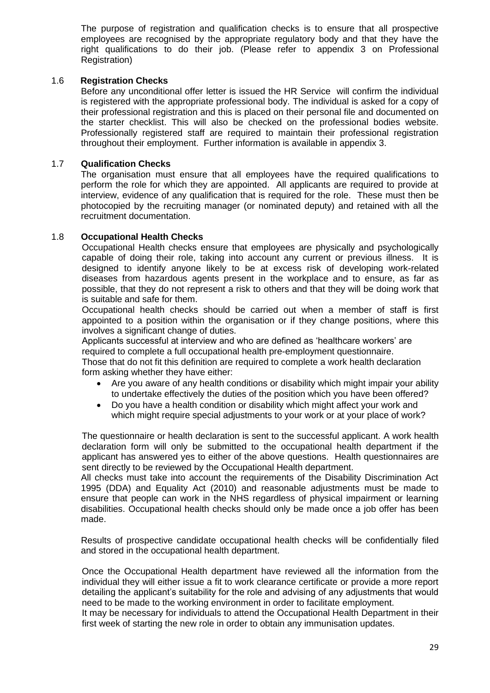The purpose of registration and qualification checks is to ensure that all prospective employees are recognised by the appropriate regulatory body and that they have the right qualifications to do their job. (Please refer to appendix 3 on Professional Registration)

## 1.6 **Registration Checks**

Before any unconditional offer letter is issued the HR Service will confirm the individual is registered with the appropriate professional body. The individual is asked for a copy of their professional registration and this is placed on their personal file and documented on the starter checklist. This will also be checked on the professional bodies website. Professionally registered staff are required to maintain their professional registration throughout their employment. Further information is available in appendix 3.

## 1.7 **Qualification Checks**

The organisation must ensure that all employees have the required qualifications to perform the role for which they are appointed. All applicants are required to provide at interview, evidence of any qualification that is required for the role. These must then be photocopied by the recruiting manager (or nominated deputy) and retained with all the recruitment documentation.

## 1.8 **Occupational Health Checks**

Occupational Health checks ensure that employees are physically and psychologically capable of doing their role, taking into account any current or previous illness. It is designed to identify anyone likely to be at excess risk of developing work-related diseases from hazardous agents present in the workplace and to ensure, as far as possible, that they do not represent a risk to others and that they will be doing work that is suitable and safe for them.

Occupational health checks should be carried out when a member of staff is first appointed to a position within the organisation or if they change positions, where this involves a significant change of duties.

Applicants successful at interview and who are defined as 'healthcare workers' are required to complete a full occupational health pre-employment questionnaire. Those that do not fit this definition are required to complete a work health declaration form asking whether they have either:

- Are you aware of any health conditions or disability which might impair your ability to undertake effectively the duties of the position which you have been offered?
- Do you have a health condition or disability which might affect your work and which might require special adjustments to your work or at your place of work?

The questionnaire or health declaration is sent to the successful applicant. A work health declaration form will only be submitted to the occupational health department if the applicant has answered yes to either of the above questions. Health questionnaires are sent directly to be reviewed by the Occupational Health department.

All checks must take into account the requirements of the Disability Discrimination Act 1995 (DDA) and Equality Act (2010) and reasonable adjustments must be made to ensure that people can work in the NHS regardless of physical impairment or learning disabilities. Occupational health checks should only be made once a job offer has been made.

Results of prospective candidate occupational health checks will be confidentially filed and stored in the occupational health department.

Once the Occupational Health department have reviewed all the information from the individual they will either issue a fit to work clearance certificate or provide a more report detailing the applicant's suitability for the role and advising of any adjustments that would need to be made to the working environment in order to facilitate employment.

It may be necessary for individuals to attend the Occupational Health Department in their first week of starting the new role in order to obtain any immunisation updates.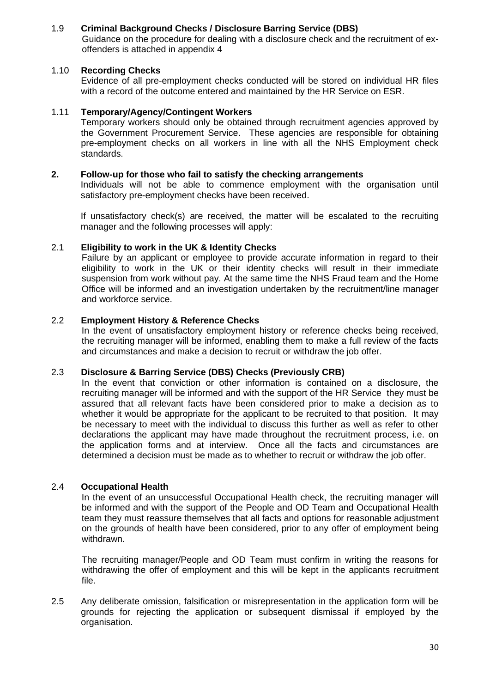## 1.9 **Criminal Background Checks / Disclosure Barring Service (DBS)**

Guidance on the procedure for dealing with a disclosure check and the recruitment of exoffenders is attached in appendix 4

### 1.10 **Recording Checks**

Evidence of all pre-employment checks conducted will be stored on individual HR files with a record of the outcome entered and maintained by the HR Service on ESR.

#### 1.11 **Temporary/Agency/Contingent Workers**

Temporary workers should only be obtained through recruitment agencies approved by the Government Procurement Service. These agencies are responsible for obtaining pre-employment checks on all workers in line with all the NHS Employment check standards.

#### **2. Follow-up for those who fail to satisfy the checking arrangements**

Individuals will not be able to commence employment with the organisation until satisfactory pre-employment checks have been received.

If unsatisfactory check(s) are received, the matter will be escalated to the recruiting manager and the following processes will apply:

#### 2.1 **Eligibility to work in the UK & Identity Checks**

Failure by an applicant or employee to provide accurate information in regard to their eligibility to work in the UK or their identity checks will result in their immediate suspension from work without pay. At the same time the NHS Fraud team and the Home Office will be informed and an investigation undertaken by the recruitment/line manager and workforce service.

## 2.2 **Employment History & Reference Checks**

In the event of unsatisfactory employment history or reference checks being received, the recruiting manager will be informed, enabling them to make a full review of the facts and circumstances and make a decision to recruit or withdraw the job offer.

#### 2.3 **Disclosure & Barring Service (DBS) Checks (Previously CRB)**

In the event that conviction or other information is contained on a disclosure, the recruiting manager will be informed and with the support of the HR Service they must be assured that all relevant facts have been considered prior to make a decision as to whether it would be appropriate for the applicant to be recruited to that position. It may be necessary to meet with the individual to discuss this further as well as refer to other declarations the applicant may have made throughout the recruitment process, i.e. on the application forms and at interview. Once all the facts and circumstances are determined a decision must be made as to whether to recruit or withdraw the job offer.

#### 2.4 **Occupational Health**

In the event of an unsuccessful Occupational Health check, the recruiting manager will be informed and with the support of the People and OD Team and Occupational Health team they must reassure themselves that all facts and options for reasonable adjustment on the grounds of health have been considered, prior to any offer of employment being withdrawn.

The recruiting manager/People and OD Team must confirm in writing the reasons for withdrawing the offer of employment and this will be kept in the applicants recruitment file.

2.5 Any deliberate omission, falsification or misrepresentation in the application form will be grounds for rejecting the application or subsequent dismissal if employed by the organisation.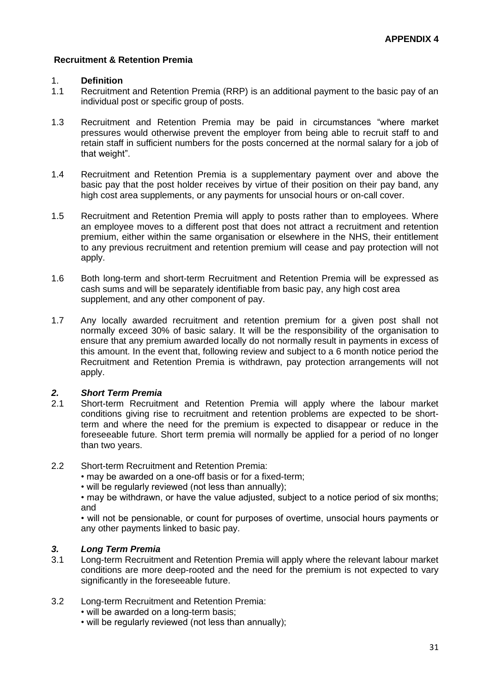## **Recruitment & Retention Premia**

#### 1. **Definition**

- 1.1 Recruitment and Retention Premia (RRP) is an additional payment to the basic pay of an individual post or specific group of posts.
- 1.3 Recruitment and Retention Premia may be paid in circumstances "where market pressures would otherwise prevent the employer from being able to recruit staff to and retain staff in sufficient numbers for the posts concerned at the normal salary for a job of that weight".
- 1.4 Recruitment and Retention Premia is a supplementary payment over and above the basic pay that the post holder receives by virtue of their position on their pay band, any high cost area supplements, or any payments for unsocial hours or on-call cover.
- 1.5 Recruitment and Retention Premia will apply to posts rather than to employees. Where an employee moves to a different post that does not attract a recruitment and retention premium, either within the same organisation or elsewhere in the NHS, their entitlement to any previous recruitment and retention premium will cease and pay protection will not apply.
- 1.6 Both long-term and short-term Recruitment and Retention Premia will be expressed as cash sums and will be separately identifiable from basic pay, any high cost area supplement, and any other component of pay.
- 1.7 Any locally awarded recruitment and retention premium for a given post shall not normally exceed 30% of basic salary. It will be the responsibility of the organisation to ensure that any premium awarded locally do not normally result in payments in excess of this amount. In the event that, following review and subject to a 6 month notice period the Recruitment and Retention Premia is withdrawn, pay protection arrangements will not apply.

# *2. Short Term Premia*

- 2.1 Short-term Recruitment and Retention Premia will apply where the labour market conditions giving rise to recruitment and retention problems are expected to be shortterm and where the need for the premium is expected to disappear or reduce in the foreseeable future. Short term premia will normally be applied for a period of no longer than two years.
- 2.2 Short-term Recruitment and Retention Premia:
	- may be awarded on a one-off basis or for a fixed-term;
	- will be regularly reviewed (not less than annually);

• may be withdrawn, or have the value adjusted, subject to a notice period of six months; and

• will not be pensionable, or count for purposes of overtime, unsocial hours payments or any other payments linked to basic pay.

## *3. Long Term Premia*

- 3.1 Long-term Recruitment and Retention Premia will apply where the relevant labour market conditions are more deep-rooted and the need for the premium is not expected to vary significantly in the foreseeable future.
- 3.2 Long-term Recruitment and Retention Premia:
	- will be awarded on a long-term basis;
	- will be regularly reviewed (not less than annually);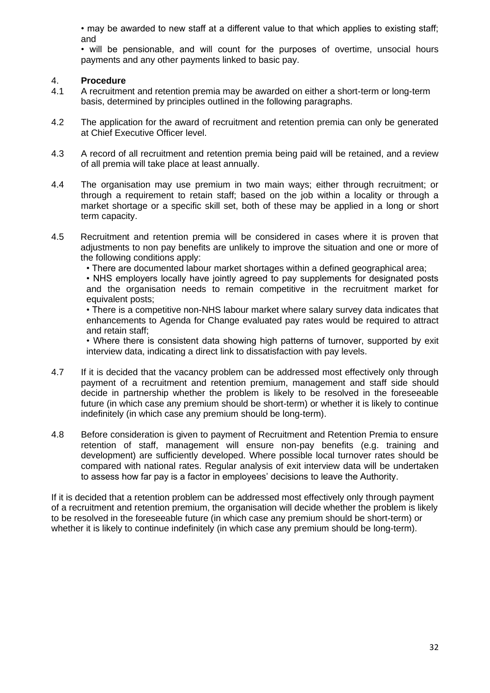• may be awarded to new staff at a different value to that which applies to existing staff; and

• will be pensionable, and will count for the purposes of overtime, unsocial hours payments and any other payments linked to basic pay.

## 4. **Procedure**

- 4.1 A recruitment and retention premia may be awarded on either a short-term or long-term basis, determined by principles outlined in the following paragraphs.
- 4.2 The application for the award of recruitment and retention premia can only be generated at Chief Executive Officer level.
- 4.3 A record of all recruitment and retention premia being paid will be retained, and a review of all premia will take place at least annually.
- 4.4 The organisation may use premium in two main ways; either through recruitment; or through a requirement to retain staff; based on the job within a locality or through a market shortage or a specific skill set, both of these may be applied in a long or short term capacity.
- 4.5 Recruitment and retention premia will be considered in cases where it is proven that adjustments to non pay benefits are unlikely to improve the situation and one or more of the following conditions apply:
	- There are documented labour market shortages within a defined geographical area;

• NHS employers locally have jointly agreed to pay supplements for designated posts and the organisation needs to remain competitive in the recruitment market for equivalent posts;

• There is a competitive non-NHS labour market where salary survey data indicates that enhancements to Agenda for Change evaluated pay rates would be required to attract and retain staff;

• Where there is consistent data showing high patterns of turnover, supported by exit interview data, indicating a direct link to dissatisfaction with pay levels.

- 4.7 If it is decided that the vacancy problem can be addressed most effectively only through payment of a recruitment and retention premium, management and staff side should decide in partnership whether the problem is likely to be resolved in the foreseeable future (in which case any premium should be short-term) or whether it is likely to continue indefinitely (in which case any premium should be long-term).
- 4.8 Before consideration is given to payment of Recruitment and Retention Premia to ensure retention of staff, management will ensure non-pay benefits (e.g. training and development) are sufficiently developed. Where possible local turnover rates should be compared with national rates. Regular analysis of exit interview data will be undertaken to assess how far pay is a factor in employees' decisions to leave the Authority.

If it is decided that a retention problem can be addressed most effectively only through payment of a recruitment and retention premium, the organisation will decide whether the problem is likely to be resolved in the foreseeable future (in which case any premium should be short-term) or whether it is likely to continue indefinitely (in which case any premium should be long-term).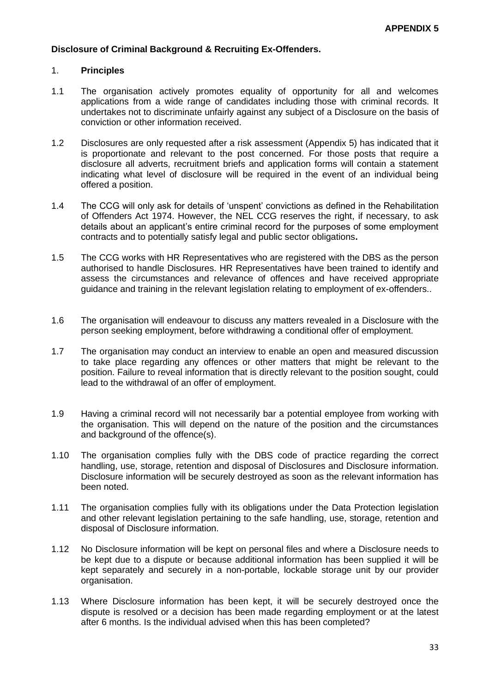#### **Disclosure of Criminal Background & Recruiting Ex-Offenders.**

#### 1. **Principles**

- 1.1 The organisation actively promotes equality of opportunity for all and welcomes applications from a wide range of candidates including those with criminal records. It undertakes not to discriminate unfairly against any subject of a Disclosure on the basis of conviction or other information received.
- 1.2 Disclosures are only requested after a risk assessment (Appendix 5) has indicated that it is proportionate and relevant to the post concerned. For those posts that require a disclosure all adverts, recruitment briefs and application forms will contain a statement indicating what level of disclosure will be required in the event of an individual being offered a position.
- 1.4 The CCG will only ask for details of 'unspent' convictions as defined in the Rehabilitation of Offenders Act 1974. However, the NEL CCG reserves the right, if necessary, to ask details about an applicant's entire criminal record for the purposes of some employment contracts and to potentially satisfy legal and public sector obligations**.**
- 1.5 The CCG works with HR Representatives who are registered with the DBS as the person authorised to handle Disclosures. HR Representatives have been trained to identify and assess the circumstances and relevance of offences and have received appropriate guidance and training in the relevant legislation relating to employment of ex-offenders..
- 1.6 The organisation will endeavour to discuss any matters revealed in a Disclosure with the person seeking employment, before withdrawing a conditional offer of employment.
- 1.7 The organisation may conduct an interview to enable an open and measured discussion to take place regarding any offences or other matters that might be relevant to the position. Failure to reveal information that is directly relevant to the position sought, could lead to the withdrawal of an offer of employment.
- 1.9 Having a criminal record will not necessarily bar a potential employee from working with the organisation. This will depend on the nature of the position and the circumstances and background of the offence(s).
- 1.10 The organisation complies fully with the DBS code of practice regarding the correct handling, use, storage, retention and disposal of Disclosures and Disclosure information. Disclosure information will be securely destroyed as soon as the relevant information has been noted.
- 1.11 The organisation complies fully with its obligations under the Data Protection legislation and other relevant legislation pertaining to the safe handling, use, storage, retention and disposal of Disclosure information.
- 1.12 No Disclosure information will be kept on personal files and where a Disclosure needs to be kept due to a dispute or because additional information has been supplied it will be kept separately and securely in a non-portable, lockable storage unit by our provider organisation.
- 1.13 Where Disclosure information has been kept, it will be securely destroyed once the dispute is resolved or a decision has been made regarding employment or at the latest after 6 months. Is the individual advised when this has been completed?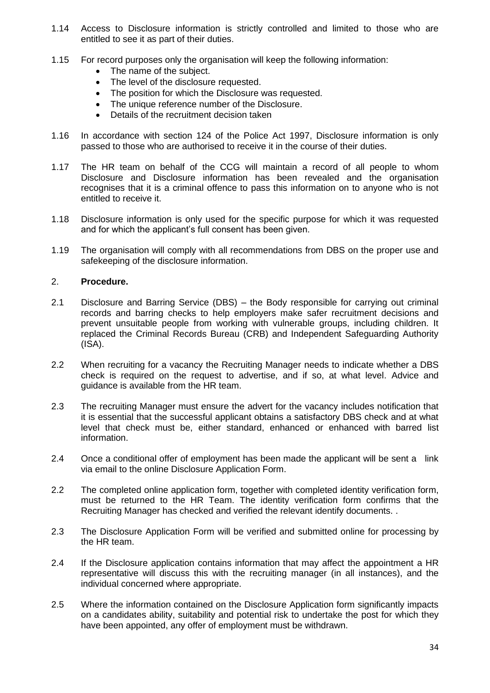- 1.14 Access to Disclosure information is strictly controlled and limited to those who are entitled to see it as part of their duties.
- 1.15 For record purposes only the organisation will keep the following information:
	- The name of the subject.
	- The level of the disclosure requested.
	- The position for which the Disclosure was requested.
	- The unique reference number of the Disclosure.
	- Details of the recruitment decision taken
- 1.16 In accordance with section 124 of the Police Act 1997, Disclosure information is only passed to those who are authorised to receive it in the course of their duties.
- 1.17 The HR team on behalf of the CCG will maintain a record of all people to whom Disclosure and Disclosure information has been revealed and the organisation recognises that it is a criminal offence to pass this information on to anyone who is not entitled to receive it.
- 1.18 Disclosure information is only used for the specific purpose for which it was requested and for which the applicant's full consent has been given.
- 1.19 The organisation will comply with all recommendations from DBS on the proper use and safekeeping of the disclosure information.

#### 2. **Procedure.**

- 2.1 Disclosure and Barring Service (DBS) the Body responsible for carrying out criminal records and barring checks to help employers make safer recruitment decisions and prevent unsuitable people from working with vulnerable groups, including children. It replaced the Criminal Records Bureau (CRB) and Independent Safeguarding Authority (ISA).
- 2.2 When recruiting for a vacancy the Recruiting Manager needs to indicate whether a DBS check is required on the request to advertise, and if so, at what level. Advice and guidance is available from the HR team.
- 2.3 The recruiting Manager must ensure the advert for the vacancy includes notification that it is essential that the successful applicant obtains a satisfactory DBS check and at what level that check must be, either standard, enhanced or enhanced with barred list information.
- 2.4 Once a conditional offer of employment has been made the applicant will be sent a link via email to the online Disclosure Application Form.
- 2.2 The completed online application form, together with completed identity verification form, must be returned to the HR Team. The identity verification form confirms that the Recruiting Manager has checked and verified the relevant identify documents. .
- 2.3 The Disclosure Application Form will be verified and submitted online for processing by the HR team.
- 2.4 If the Disclosure application contains information that may affect the appointment a HR representative will discuss this with the recruiting manager (in all instances), and the individual concerned where appropriate.
- 2.5 Where the information contained on the Disclosure Application form significantly impacts on a candidates ability, suitability and potential risk to undertake the post for which they have been appointed, any offer of employment must be withdrawn.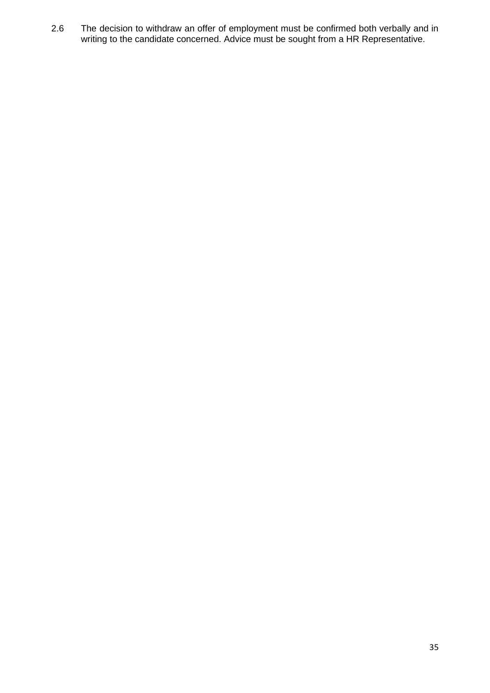2.6 The decision to withdraw an offer of employment must be confirmed both verbally and in writing to the candidate concerned. Advice must be sought from a HR Representative.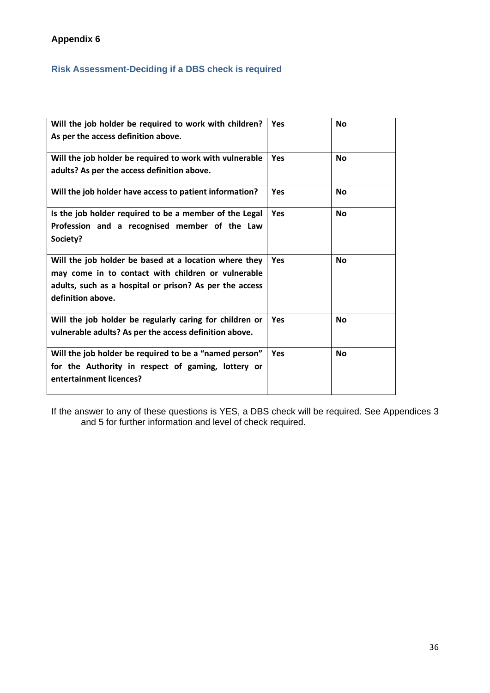# **Appendix 6**

# **Risk Assessment-Deciding if a DBS check is required**

| Will the job holder be required to work with children?<br>As per the access definition above.                                                                                               | Yes        | <b>No</b> |
|---------------------------------------------------------------------------------------------------------------------------------------------------------------------------------------------|------------|-----------|
| Will the job holder be required to work with vulnerable<br>adults? As per the access definition above.                                                                                      | <b>Yes</b> | <b>No</b> |
| Will the job holder have access to patient information?                                                                                                                                     | Yes        | <b>No</b> |
| Is the job holder required to be a member of the Legal<br>Profession and a recognised member of the Law<br>Society?                                                                         | <b>Yes</b> | <b>No</b> |
| Will the job holder be based at a location where they<br>may come in to contact with children or vulnerable<br>adults, such as a hospital or prison? As per the access<br>definition above. | Yes        | <b>No</b> |
| Will the job holder be regularly caring for children or<br>vulnerable adults? As per the access definition above.                                                                           | Yes        | <b>No</b> |
| Will the job holder be required to be a "named person"<br>for the Authority in respect of gaming, lottery or<br>entertainment licences?                                                     | <b>Yes</b> | <b>No</b> |

If the answer to any of these questions is YES, a DBS check will be required. See Appendices 3 and 5 for further information and level of check required.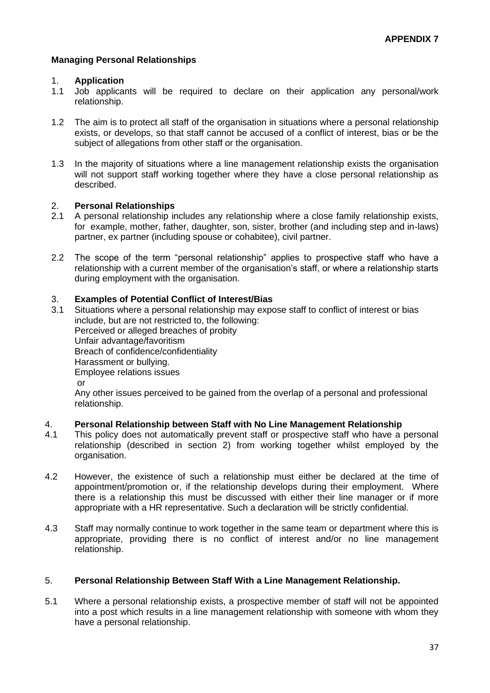## **Managing Personal Relationships**

#### 1. **Application**

- 1.1 Job applicants will be required to declare on their application any personal/work relationship.
- 1.2 The aim is to protect all staff of the organisation in situations where a personal relationship exists, or develops, so that staff cannot be accused of a conflict of interest, bias or be the subject of allegations from other staff or the organisation.
- 1.3 In the majority of situations where a line management relationship exists the organisation will not support staff working together where they have a close personal relationship as described.

#### 2. **Personal Relationships**

- 2.1 A personal relationship includes any relationship where a close family relationship exists, for example, mother, father, daughter, son, sister, brother (and including step and in-laws) partner, ex partner (including spouse or cohabitee), civil partner.
- 2.2 The scope of the term "personal relationship" applies to prospective staff who have a relationship with a current member of the organisation's staff, or where a relationship starts during employment with the organisation.

## 3. **Examples of Potential Conflict of Interest/Bias**

3.1 Situations where a personal relationship may expose staff to conflict of interest or bias include, but are not restricted to, the following: Perceived or alleged breaches of probity Unfair advantage/favoritism Breach of confidence/confidentiality Harassment or bullying. Employee relations issues or Any other issues perceived to be gained from the overlap of a personal and professional relationship.

### 4. **Personal Relationship between Staff with No Line Management Relationship**

- 4.1 This policy does not automatically prevent staff or prospective staff who have a personal relationship (described in section 2) from working together whilst employed by the organisation.
- 4.2 However, the existence of such a relationship must either be declared at the time of appointment/promotion or, if the relationship develops during their employment. Where there is a relationship this must be discussed with either their line manager or if more appropriate with a HR representative. Such a declaration will be strictly confidential.
- 4.3 Staff may normally continue to work together in the same team or department where this is appropriate, providing there is no conflict of interest and/or no line management relationship.

## 5. **Personal Relationship Between Staff With a Line Management Relationship.**

5.1 Where a personal relationship exists, a prospective member of staff will not be appointed into a post which results in a line management relationship with someone with whom they have a personal relationship.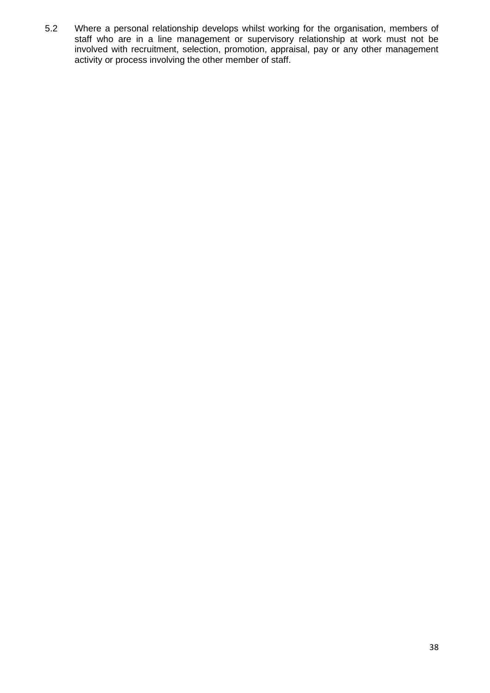5.2 Where a personal relationship develops whilst working for the organisation, members of staff who are in a line management or supervisory relationship at work must not be involved with recruitment, selection, promotion, appraisal, pay or any other management activity or process involving the other member of staff.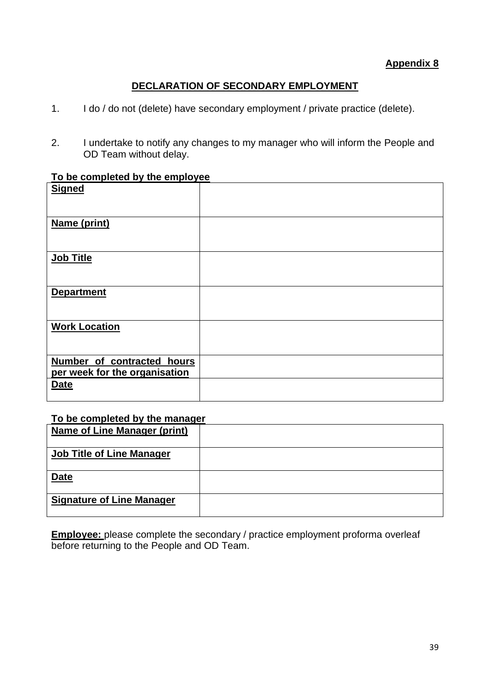# **Appendix 8**

# **DECLARATION OF SECONDARY EMPLOYMENT**

- 1. I do / do not (delete) have secondary employment / private practice (delete).
- 2. I undertake to notify any changes to my manager who will inform the People and OD Team without delay.

# **To be completed by the employee**

| <b>Signed</b>                 |  |
|-------------------------------|--|
|                               |  |
| Name (print)                  |  |
|                               |  |
| <b>Job Title</b>              |  |
|                               |  |
| <b>Department</b>             |  |
|                               |  |
| <b>Work Location</b>          |  |
|                               |  |
| Number of contracted hours    |  |
| per week for the organisation |  |
| <b>Date</b>                   |  |
|                               |  |

# **To be completed by the manager**

| <b>Name of Line Manager (print)</b> |  |
|-------------------------------------|--|
| <b>Job Title of Line Manager</b>    |  |
| <b>Date</b>                         |  |
| <b>Signature of Line Manager</b>    |  |

**Employee:** please complete the secondary / practice employment proforma overleaf before returning to the People and OD Team.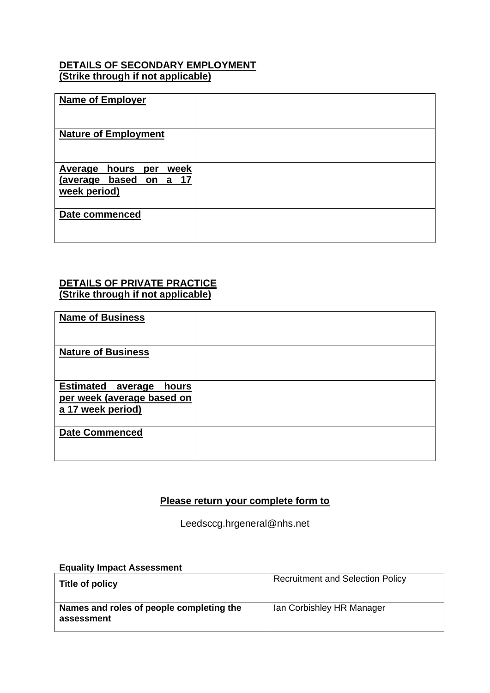# **DETAILS OF SECONDARY EMPLOYMENT (Strike through if not applicable)**

| <b>Name of Employer</b>                                                          |  |
|----------------------------------------------------------------------------------|--|
| <b>Nature of Employment</b>                                                      |  |
| <b>Average</b><br>week<br>hours<br>per<br>(average based on a 17<br>week period) |  |
| Date commenced                                                                   |  |

# **DETAILS OF PRIVATE PRACTICE (Strike through if not applicable)**

| <b>Name of Business</b>                                                              |  |
|--------------------------------------------------------------------------------------|--|
| <b>Nature of Business</b>                                                            |  |
| <b>Estimated average</b><br>hours<br>per week (average based on<br>a 17 week period) |  |
| <b>Date Commenced</b>                                                                |  |

# **Please return your complete form to**

Leedsccg.hrgeneral@nhs.net

# **Equality Impact Assessment**

| Title of policy                                        | <b>Recruitment and Selection Policy</b> |
|--------------------------------------------------------|-----------------------------------------|
| Names and roles of people completing the<br>assessment | Ian Corbishley HR Manager               |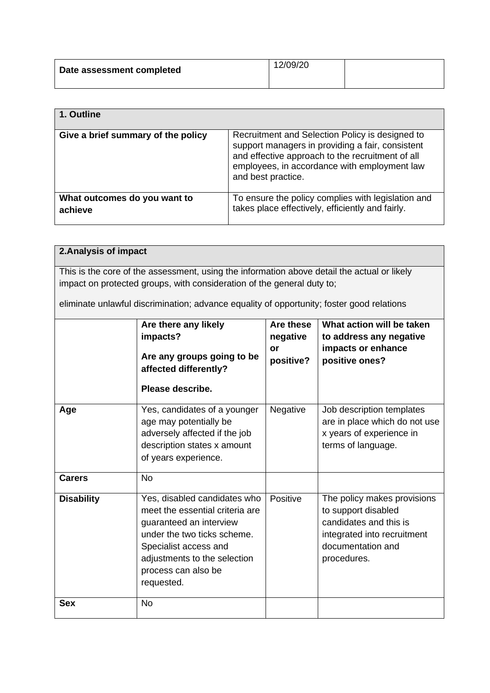| Date assessment completed | 12/09/20 |  |
|---------------------------|----------|--|
|                           |          |  |

| 1. Outline                              |                                                                                                                                                                                                                               |
|-----------------------------------------|-------------------------------------------------------------------------------------------------------------------------------------------------------------------------------------------------------------------------------|
| Give a brief summary of the policy      | Recruitment and Selection Policy is designed to<br>support managers in providing a fair, consistent<br>and effective approach to the recruitment of all<br>employees, in accordance with employment law<br>and best practice. |
| What outcomes do you want to<br>achieve | To ensure the policy complies with legislation and<br>takes place effectively, efficiently and fairly.                                                                                                                        |

# **2.Analysis of impact**

This is the core of the assessment, using the information above detail the actual or likely impact on protected groups, with consideration of the general duty to;

eliminate unlawful discrimination; advance equality of opportunity; foster good relations

|                   | Are there any likely<br>impacts?<br>Are any groups going to be<br>affected differently?<br>Please describe.                                                                                                             | Are these<br>negative<br>or<br>positive? | What action will be taken<br>to address any negative<br>impacts or enhance<br>positive ones?                                                    |
|-------------------|-------------------------------------------------------------------------------------------------------------------------------------------------------------------------------------------------------------------------|------------------------------------------|-------------------------------------------------------------------------------------------------------------------------------------------------|
| Age               | Yes, candidates of a younger<br>age may potentially be<br>adversely affected if the job<br>description states x amount<br>of years experience.                                                                          | Negative                                 | Job description templates<br>are in place which do not use<br>x years of experience in<br>terms of language.                                    |
| <b>Carers</b>     | <b>No</b>                                                                                                                                                                                                               |                                          |                                                                                                                                                 |
| <b>Disability</b> | Yes, disabled candidates who<br>meet the essential criteria are<br>guaranteed an interview<br>under the two ticks scheme.<br>Specialist access and<br>adjustments to the selection<br>process can also be<br>requested. | Positive                                 | The policy makes provisions<br>to support disabled<br>candidates and this is<br>integrated into recruitment<br>documentation and<br>procedures. |
| <b>Sex</b>        | <b>No</b>                                                                                                                                                                                                               |                                          |                                                                                                                                                 |